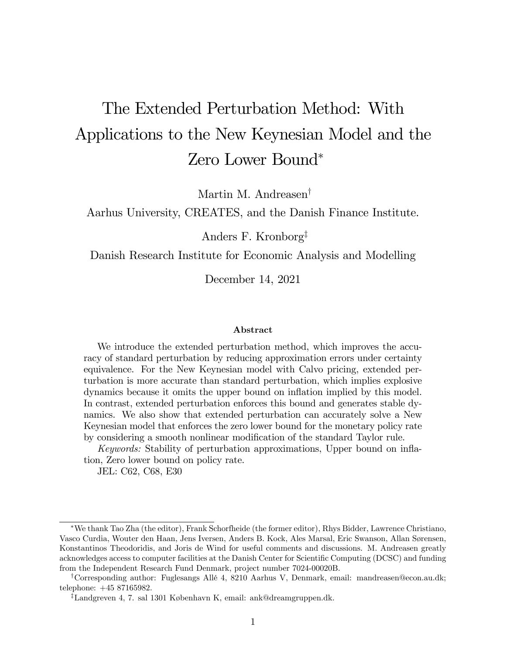# The Extended Perturbation Method: With Applications to the New Keynesian Model and the Zero Lower Bound\*

Martin M. Andreasen<sup>†</sup>

Aarhus University, CREATES, and the Danish Finance Institute.

Anders F. Kronborg<sup> $\ddagger$ </sup>

Danish Research Institute for Economic Analysis and Modelling

December 14, 2021

#### Abstract

We introduce the extended perturbation method, which improves the accuracy of standard perturbation by reducing approximation errors under certainty equivalence. For the New Keynesian model with Calvo pricing, extended perturbation is more accurate than standard perturbation, which implies explosive dynamics because it omits the upper bound on inflation implied by this model. In contrast, extended perturbation enforces this bound and generates stable dynamics. We also show that extended perturbation can accurately solve a New Keynesian model that enforces the zero lower bound for the monetary policy rate by considering a smooth nonlinear modification of the standard Taylor rule.

Keywords: Stability of perturbation approximations, Upper bound on inflation, Zero lower bound on policy rate.

JEL: C62, C68, E30

We thank Tao Zha (the editor), Frank Schorfheide (the former editor), Rhys Bidder, Lawrence Christiano, Vasco Curdia, Wouter den Haan, Jens Iversen, Anders B. Kock, Ales Marsal, Eric Swanson, Allan Sørensen, Konstantinos Theodoridis, and Joris de Wind for useful comments and discussions. M. Andreasen greatly acknowledges access to computer facilities at the Danish Center for Scientific Computing (DCSC) and funding from the Independent Research Fund Denmark, project number 7024-00020B.

<sup>y</sup>Corresponding author: Fuglesangs AllÈ 4, 8210 Aarhus V, Denmark, email: mandreasen@econ.au.dk; telephone: +45 87165982.

<sup>&</sup>lt;sup>‡</sup>Landgreven 4, 7. sal 1301 København K, email: ank@dreamgruppen.dk.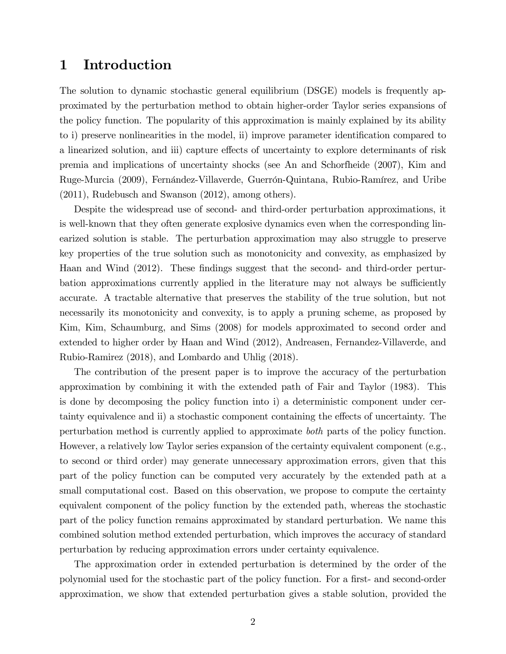# 1 Introduction

The solution to dynamic stochastic general equilibrium (DSGE) models is frequently approximated by the perturbation method to obtain higher-order Taylor series expansions of the policy function. The popularity of this approximation is mainly explained by its ability to i) preserve nonlinearities in the model, ii) improve parameter identification compared to a linearized solution, and iii) capture effects of uncertainty to explore determinants of risk premia and implications of uncertainty shocks (see An and Schorfheide (2007), Kim and Ruge-Murcia (2009), Fernández-Villaverde, Guerrón-Quintana, Rubio-Ramírez, and Uribe (2011), Rudebusch and Swanson (2012), among others).

Despite the widespread use of second- and third-order perturbation approximations, it is well-known that they often generate explosive dynamics even when the corresponding linearized solution is stable. The perturbation approximation may also struggle to preserve key properties of the true solution such as monotonicity and convexity, as emphasized by Haan and Wind (2012). These findings suggest that the second- and third-order perturbation approximations currently applied in the literature may not always be sufficiently accurate. A tractable alternative that preserves the stability of the true solution, but not necessarily its monotonicity and convexity, is to apply a pruning scheme, as proposed by Kim, Kim, Schaumburg, and Sims (2008) for models approximated to second order and extended to higher order by Haan and Wind (2012), Andreasen, Fernandez-Villaverde, and Rubio-Ramirez (2018), and Lombardo and Uhlig (2018).

The contribution of the present paper is to improve the accuracy of the perturbation approximation by combining it with the extended path of Fair and Taylor (1983). This is done by decomposing the policy function into i) a deterministic component under certainty equivalence and ii) a stochastic component containing the effects of uncertainty. The perturbation method is currently applied to approximate both parts of the policy function. However, a relatively low Taylor series expansion of the certainty equivalent component (e.g., to second or third order) may generate unnecessary approximation errors, given that this part of the policy function can be computed very accurately by the extended path at a small computational cost. Based on this observation, we propose to compute the certainty equivalent component of the policy function by the extended path, whereas the stochastic part of the policy function remains approximated by standard perturbation. We name this combined solution method extended perturbation, which improves the accuracy of standard perturbation by reducing approximation errors under certainty equivalence.

The approximation order in extended perturbation is determined by the order of the polynomial used for the stochastic part of the policy function. For a first- and second-order approximation, we show that extended perturbation gives a stable solution, provided the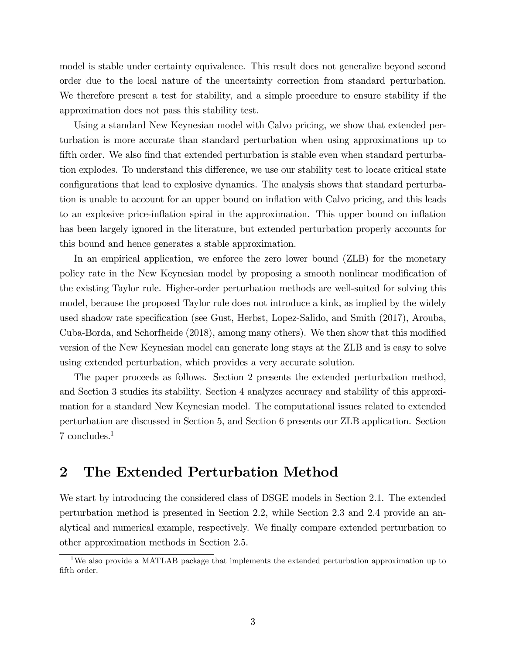model is stable under certainty equivalence. This result does not generalize beyond second order due to the local nature of the uncertainty correction from standard perturbation. We therefore present a test for stability, and a simple procedure to ensure stability if the approximation does not pass this stability test.

Using a standard New Keynesian model with Calvo pricing, we show that extended perturbation is more accurate than standard perturbation when using approximations up to fifth order. We also find that extended perturbation is stable even when standard perturbation explodes. To understand this difference, we use our stability test to locate critical state configurations that lead to explosive dynamics. The analysis shows that standard perturbation is unable to account for an upper bound on inflation with Calvo pricing, and this leads to an explosive price-ináation spiral in the approximation. This upper bound on ináation has been largely ignored in the literature, but extended perturbation properly accounts for this bound and hence generates a stable approximation.

In an empirical application, we enforce the zero lower bound (ZLB) for the monetary policy rate in the New Keynesian model by proposing a smooth nonlinear modification of the existing Taylor rule. Higher-order perturbation methods are well-suited for solving this model, because the proposed Taylor rule does not introduce a kink, as implied by the widely used shadow rate specification (see Gust, Herbst, Lopez-Salido, and Smith (2017), Arouba, Cuba-Borda, and Schorfheide (2018), among many others). We then show that this modified version of the New Keynesian model can generate long stays at the ZLB and is easy to solve using extended perturbation, which provides a very accurate solution.

The paper proceeds as follows. Section 2 presents the extended perturbation method, and Section 3 studies its stability. Section 4 analyzes accuracy and stability of this approximation for a standard New Keynesian model. The computational issues related to extended perturbation are discussed in Section 5, and Section 6 presents our ZLB application. Section 7 concludes.<sup>1</sup>

# 2 The Extended Perturbation Method

We start by introducing the considered class of DSGE models in Section 2.1. The extended perturbation method is presented in Section 2.2, while Section 2.3 and 2.4 provide an analytical and numerical example, respectively. We finally compare extended perturbation to other approximation methods in Section 2.5.

<sup>&</sup>lt;sup>1</sup>We also provide a MATLAB package that implements the extended perturbation approximation up to fifth order.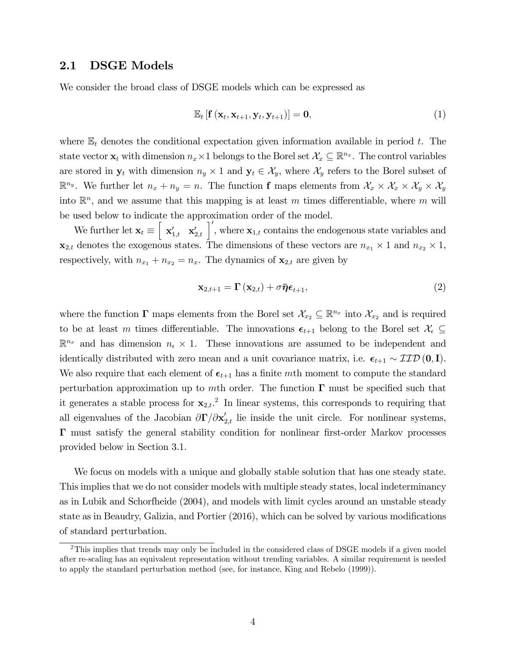# 2.1 DSGE Models

We consider the broad class of DSGE models which can be expressed as

$$
\mathbb{E}_{t}\left[\mathbf{f}\left(\mathbf{x}_{t},\mathbf{x}_{t+1},\mathbf{y}_{t},\mathbf{y}_{t+1}\right)\right]=\mathbf{0},\tag{1}
$$

where  $\mathbb{E}_t$  denotes the conditional expectation given information available in period t. The state vector  $\mathbf{x}_t$  with dimension  $n_x \times 1$  belongs to the Borel set  $\mathcal{X}_x \subseteq \mathbb{R}^{n_x}$ . The control variables are stored in  $y_t$  with dimension  $n_y \times 1$  and  $y_t \in \mathcal{X}_y$ , where  $\mathcal{X}_y$  refers to the Borel subset of  $\mathbb{R}^{n_y}$ . We further let  $n_x + n_y = n$ . The function **f** maps elements from  $\mathcal{X}_x \times \mathcal{X}_x \times \mathcal{X}_y \times \mathcal{X}_y$ into  $\mathbb{R}^n$ , and we assume that this mapping is at least m times differentiable, where m will be used below to indicate the approximation order of the model.

We further let  $\mathbf{x}_t \equiv \begin{bmatrix} \mathbf{x}'_{1,t} & \mathbf{x}'_{2,t} \end{bmatrix}'$ , where  $\mathbf{x}_{1,t}$  contains the endogenous state variables and  $\mathbf{x}_{2,t}$  denotes the exogenous states. The dimensions of these vectors are  $n_{x_1} \times 1$  and  $n_{x_2} \times 1$ , respectively, with  $n_{x_1} + n_{x_2} = n_x$ . The dynamics of  $\mathbf{x}_{2,t}$  are given by

$$
\mathbf{x}_{2,t+1} = \mathbf{\Gamma}\left(\mathbf{x}_{2,t}\right) + \sigma \bar{\boldsymbol{\eta}} \boldsymbol{\epsilon}_{t+1},\tag{2}
$$

where the function  $\Gamma$  maps elements from the Borel set  $\mathcal{X}_{x_2} \subseteq \mathbb{R}^{n_x}$  into  $\mathcal{X}_{x_2}$  and is required to be at least m times differentiable. The innovations  $\epsilon_{t+1}$  belong to the Borel set  $\mathcal{X}_{\epsilon} \subseteq$  $\mathbb{R}^{n_x}$  and has dimension  $n_{\epsilon} \times 1$ . These innovations are assumed to be independent and identically distributed with zero mean and a unit covariance matrix, i.e.  $\epsilon_{t+1} \sim \mathcal{IID}(\mathbf{0}, \mathbf{I}).$ We also require that each element of  $\epsilon_{t+1}$  has a finite mth moment to compute the standard perturbation approximation up to mth order. The function  $\Gamma$  must be specified such that it generates a stable process for  $\mathbf{x}_{2,t}$ .<sup>2</sup> In linear systems, this corresponds to requiring that all eigenvalues of the Jacobian  $\partial \Gamma / \partial x'_{2,t}$  lie inside the unit circle. For nonlinear systems,  $\Gamma$  must satisfy the general stability condition for nonlinear first-order Markov processes provided below in Section 3.1.

We focus on models with a unique and globally stable solution that has one steady state. This implies that we do not consider models with multiple steady states, local indeterminancy as in Lubik and Schorfheide (2004), and models with limit cycles around an unstable steady state as in Beaudry, Galizia, and Portier  $(2016)$ , which can be solved by various modifications of standard perturbation.

<sup>&</sup>lt;sup>2</sup>This implies that trends may only be included in the considered class of DSGE models if a given model after re-scaling has an equivalent representation without trending variables. A similar requirement is needed to apply the standard perturbation method (see, for instance, King and Rebelo (1999)).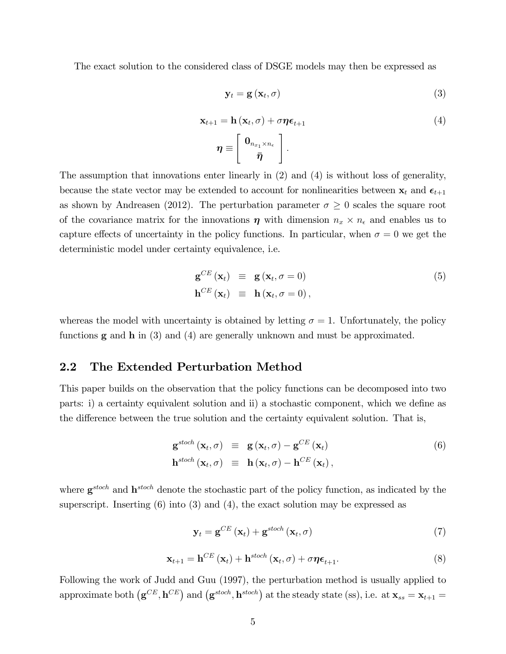The exact solution to the considered class of DSGE models may then be expressed as

$$
\mathbf{y}_t = \mathbf{g}\left(\mathbf{x}_t, \sigma\right) \tag{3}
$$

$$
\mathbf{x}_{t+1} = \mathbf{h} \left( \mathbf{x}_t, \sigma \right) + \sigma \boldsymbol{\eta} \boldsymbol{\epsilon}_{t+1}
$$
\n
$$
\boldsymbol{\eta} \equiv \begin{bmatrix} \mathbf{0}_{n_{x_1} \times n_{\epsilon}} \\ \bar{\boldsymbol{\eta}} \end{bmatrix}.
$$
\n(4)

The assumption that innovations enter linearly in (2) and (4) is without loss of generality, because the state vector may be extended to account for nonlinearities between  $\mathbf{x}_t$  and  $\boldsymbol{\epsilon}_{t+1}$ as shown by Andreasen (2012). The perturbation parameter  $\sigma \geq 0$  scales the square root of the covariance matrix for the innovations  $\eta$  with dimension  $n_x \times n_{\epsilon}$  and enables us to capture effects of uncertainty in the policy functions. In particular, when  $\sigma = 0$  we get the deterministic model under certainty equivalence, i.e.

$$
\mathbf{g}^{CE}(\mathbf{x}_t) \equiv \mathbf{g}(\mathbf{x}_t, \sigma = 0) \n\mathbf{h}^{CE}(\mathbf{x}_t) \equiv \mathbf{h}(\mathbf{x}_t, \sigma = 0),
$$
\n(5)

whereas the model with uncertainty is obtained by letting  $\sigma = 1$ . Unfortunately, the policy functions  $g$  and  $h$  in (3) and (4) are generally unknown and must be approximated.

# 2.2 The Extended Perturbation Method

This paper builds on the observation that the policy functions can be decomposed into two parts: i) a certainty equivalent solution and ii) a stochastic component, which we define as the difference between the true solution and the certainty equivalent solution. That is,

$$
\mathbf{g}^{stoch}(\mathbf{x}_t, \sigma) \equiv \mathbf{g}(\mathbf{x}_t, \sigma) - \mathbf{g}^{CE}(\mathbf{x}_t)
$$
  
\n
$$
\mathbf{h}^{stoch}(\mathbf{x}_t, \sigma) \equiv \mathbf{h}(\mathbf{x}_t, \sigma) - \mathbf{h}^{CE}(\mathbf{x}_t),
$$
\n(6)

where  $g^{stoch}$  and  $h^{stoch}$  denote the stochastic part of the policy function, as indicated by the superscript. Inserting (6) into (3) and (4), the exact solution may be expressed as

$$
\mathbf{y}_{t} = \mathbf{g}^{CE} \left( \mathbf{x}_{t} \right) + \mathbf{g}^{stoch} \left( \mathbf{x}_{t}, \sigma \right) \tag{7}
$$

$$
\mathbf{x}_{t+1} = \mathbf{h}^{CE} \left( \mathbf{x}_t \right) + \mathbf{h}^{stoch} \left( \mathbf{x}_t, \sigma \right) + \sigma \boldsymbol{\eta} \boldsymbol{\epsilon}_{t+1}.
$$

Following the work of Judd and Guu (1997), the perturbation method is usually applied to approximate both  $(g^{CE}, h^{CE})$  and  $(g^{stoch}, h^{stoch})$  at the steady state (ss), i.e. at  $\mathbf{x}_{ss} = \mathbf{x}_{t+1} =$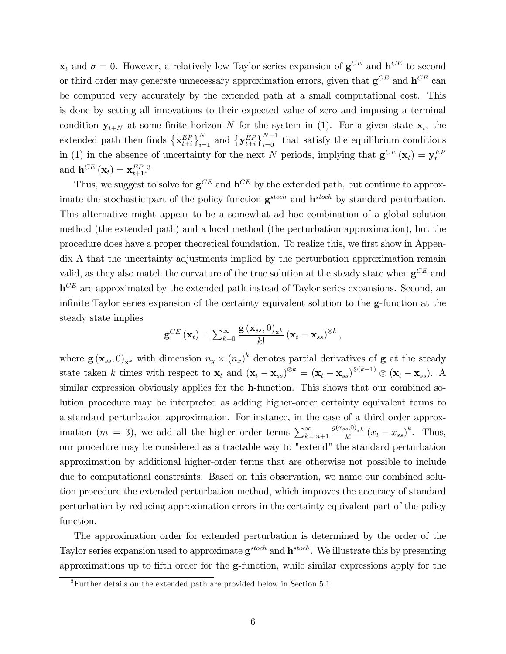$\mathbf{x}_t$  and  $\sigma = 0$ . However, a relatively low Taylor series expansion of  $\mathbf{g}^{CE}$  and  $\mathbf{h}^{CE}$  to second or third order may generate unnecessary approximation errors, given that  $\mathbf{g}^{CE}$  and  $\mathbf{h}^{CE}$  can be computed very accurately by the extended path at a small computational cost. This is done by setting all innovations to their expected value of zero and imposing a terminal condition  $y_{t+N}$  at some finite horizon N for the system in (1). For a given state  $x_t$ , the extended path then finds  $\left\{ \mathbf{x}_{t+i}^{EP} \right\}_{i=1}^{N}$  and  $\left\{ \mathbf{y}_{t+i}^{EP} \right\}_{i=0}^{N-1}$  that satisfy the equilibrium conditions in (1) in the absence of uncertainty for the next N periods, implying that  $\mathbf{g}^{CE}(\mathbf{x}_t) = \mathbf{y}_t^{EF}$ and  $\mathbf{h}^{CE}\left(\mathbf{x}_t\right) = \mathbf{x}_{t+1}^{EP}$ .<sup>3</sup>

Thus, we suggest to solve for  $g^{CE}$  and  $h^{CE}$  by the extended path, but continue to approximate the stochastic part of the policy function  $g^{stoch}$  and  $h^{stoch}$  by standard perturbation. This alternative might appear to be a somewhat ad hoc combination of a global solution method (the extended path) and a local method (the perturbation approximation), but the procedure does have a proper theoretical foundation. To realize this, we first show in Appendix A that the uncertainty adjustments implied by the perturbation approximation remain valid, as they also match the curvature of the true solution at the steady state when  $\mathbf{g}^{CE}$  and  $h^{CE}$  are approximated by the extended path instead of Taylor series expansions. Second, an infinite Taylor series expansion of the certainty equivalent solution to the  $g$ -function at the steady state implies

$$
\mathbf{g}^{CE}\left(\mathbf{x}_t\right)=\sum_{k=0}^{\infty}\frac{\mathbf{g}\left(\mathbf{x}_{ss},0\right)_{\mathbf{x}^k}}{k!}\left(\mathbf{x}_t-\mathbf{x}_{ss}\right)^{\otimes k},
$$

where  $\mathbf{g}(\mathbf{x}_{ss},0)_{\mathbf{x}^k}$  with dimension  $n_y \times (n_x)^k$  denotes partial derivatives of **g** at the steady state taken k times with respect to  $\mathbf{x}_t$  and  $(\mathbf{x}_t - \mathbf{x}_{ss})^{\otimes k} = (\mathbf{x}_t - \mathbf{x}_{ss})^{\otimes (k-1)} \otimes (\mathbf{x}_t - \mathbf{x}_{ss})$ . A similar expression obviously applies for the h-function. This shows that our combined solution procedure may be interpreted as adding higher-order certainty equivalent terms to a standard perturbation approximation. For instance, in the case of a third order approximation  $(m = 3)$ , we add all the higher order terms  $\sum_{k=m+1}^{\infty} \frac{g(x_{ss},0)_{\mathbf{x}^k}}{k!}$  $\int_{k!}^{s,(0)} x^{k} (x_t - x_{ss})^k$ . Thus, our procedure may be considered as a tractable way to "extend" the standard perturbation approximation by additional higher-order terms that are otherwise not possible to include due to computational constraints. Based on this observation, we name our combined solution procedure the extended perturbation method, which improves the accuracy of standard perturbation by reducing approximation errors in the certainty equivalent part of the policy function.

The approximation order for extended perturbation is determined by the order of the Taylor series expansion used to approximate  $g^{stoch}$  and  $h^{stoch}$ . We illustrate this by presenting approximations up to fifth order for the **g**-function, while similar expressions apply for the

<sup>3</sup>Further details on the extended path are provided below in Section 5.1.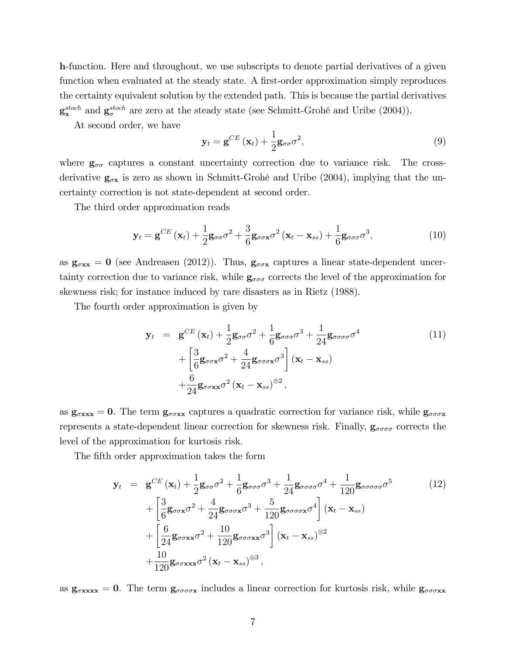h-function. Here and throughout, we use subscripts to denote partial derivatives of a given function when evaluated at the steady state. A first-order approximation simply reproduces the certainty equivalent solution by the extended path. This is because the partial derivatives  $\mathbf{g}_{\mathbf{x}}^{stoch}$  and  $\mathbf{g}_{\sigma}^{stoch}$  are zero at the steady state (see Schmitt-Grohé and Uribe (2004)).

At second order, we have

$$
\mathbf{y}_{t} = \mathbf{g}^{CE} \left( \mathbf{x}_{t} \right) + \frac{1}{2} \mathbf{g}_{\sigma\sigma} \sigma^{2}, \tag{9}
$$

where  $g_{\sigma\sigma}$  captures a constant uncertainty correction due to variance risk. The crossderivative  $g_{\sigma x}$  is zero as shown in Schmitt-Grohé and Uribe (2004), implying that the uncertainty correction is not state-dependent at second order.

The third order approximation reads

$$
\mathbf{y}_{t} = \mathbf{g}^{CE} \left( \mathbf{x}_{t} \right) + \frac{1}{2} \mathbf{g}_{\sigma\sigma} \sigma^{2} + \frac{3}{6} \mathbf{g}_{\sigma\sigma\mathbf{x}} \sigma^{2} \left( \mathbf{x}_{t} - \mathbf{x}_{ss} \right) + \frac{1}{6} \mathbf{g}_{\sigma\sigma\sigma} \sigma^{3}, \qquad (10)
$$

as  $g_{\sigma xx} = 0$  (see Andreasen (2012)). Thus,  $g_{\sigma \sigma x}$  captures a linear state-dependent uncertainty correction due to variance risk, while  $g_{\sigma\sigma\sigma}$  corrects the level of the approximation for skewness risk; for instance induced by rare disasters as in Rietz (1988).

The fourth order approximation is given by

$$
\mathbf{y}_{t} = \mathbf{g}^{CE}(\mathbf{x}_{t}) + \frac{1}{2}\mathbf{g}_{\sigma\sigma}\sigma^{2} + \frac{1}{6}\mathbf{g}_{\sigma\sigma\sigma}\sigma^{3} + \frac{1}{24}\mathbf{g}_{\sigma\sigma\sigma\sigma}\sigma^{4} + \left[\frac{3}{6}\mathbf{g}_{\sigma\sigma\mathbf{x}}\sigma^{2} + \frac{4}{24}\mathbf{g}_{\sigma\sigma\sigma\mathbf{x}}\sigma^{3}\right](\mathbf{x}_{t} - \mathbf{x}_{ss}) + \frac{6}{24}\mathbf{g}_{\sigma\sigma\mathbf{x}\mathbf{x}}\sigma^{2}(\mathbf{x}_{t} - \mathbf{x}_{ss})^{\otimes 2},
$$
(11)

as  $g_{\sigma xx} = 0$ . The term  $g_{\sigma \sigma xx}$  captures a quadratic correction for variance risk, while  $g_{\sigma \sigma \sigma x}$ represents a state-dependent linear correction for skewness risk. Finally,  $g_{\sigma\sigma\sigma\sigma}$  corrects the level of the approximation for kurtosis risk.

The fifth order approximation takes the form

$$
\mathbf{y}_{t} = \mathbf{g}^{CE}(\mathbf{x}_{t}) + \frac{1}{2}\mathbf{g}_{\sigma\sigma}\sigma^{2} + \frac{1}{6}\mathbf{g}_{\sigma\sigma\sigma}\sigma^{3} + \frac{1}{24}\mathbf{g}_{\sigma\sigma\sigma\sigma}\sigma^{4} + \frac{1}{120}\mathbf{g}_{\sigma\sigma\sigma\sigma\sigma}\sigma^{5}
$$
(12)  
+ 
$$
\left[\frac{3}{6}\mathbf{g}_{\sigma\sigma\mathbf{x}}\sigma^{2} + \frac{4}{24}\mathbf{g}_{\sigma\sigma\sigma\mathbf{x}}\sigma^{3} + \frac{5}{120}\mathbf{g}_{\sigma\sigma\sigma\sigma\mathbf{x}}\sigma^{4}\right](\mathbf{x}_{t} - \mathbf{x}_{ss}) + \left[\frac{6}{24}\mathbf{g}_{\sigma\sigma\mathbf{x}}\sigma^{2} + \frac{10}{120}\mathbf{g}_{\sigma\sigma\sigma\mathbf{x}}\sigma^{3}\right](\mathbf{x}_{t} - \mathbf{x}_{ss})^{\otimes 2} + \frac{10}{120}\mathbf{g}_{\sigma\sigma\mathbf{x}\mathbf{x}}\sigma^{2}(\mathbf{x}_{t} - \mathbf{x}_{ss})^{\otimes 3},
$$

as  $g_{\sigmaxxxx} = 0$ . The term  $g_{\sigma\sigma\sigma\sigma x}$  includes a linear correction for kurtosis risk, while  $g_{\sigma\sigma\sigma xx}$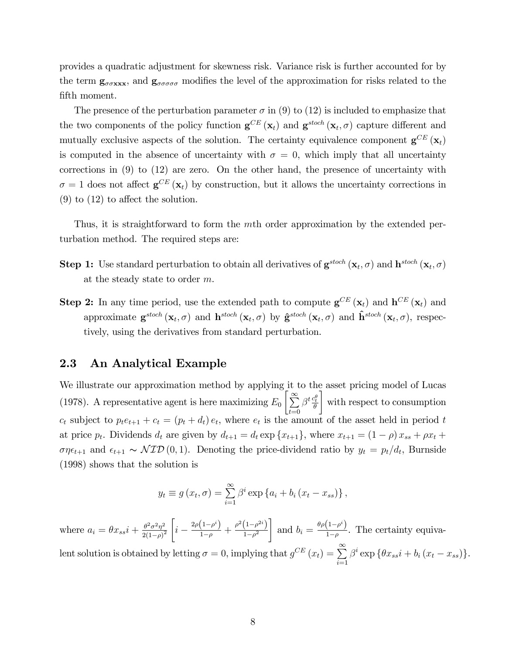provides a quadratic adjustment for skewness risk. Variance risk is further accounted for by the term  $g_{\sigma\sigma\alpha}$  and  $g_{\sigma\sigma\sigma\sigma}$  modifies the level of the approximation for risks related to the fifth moment.

The presence of the perturbation parameter  $\sigma$  in (9) to (12) is included to emphasize that the two components of the policy function  $\mathbf{g}^{CE}(\mathbf{x}_t)$  and  $\mathbf{g}^{stoch}(\mathbf{x}_t, \sigma)$  capture different and mutually exclusive aspects of the solution. The certainty equivalence component  $\mathbf{g}^{CE}(\mathbf{x}_t)$ is computed in the absence of uncertainty with  $\sigma = 0$ , which imply that all uncertainty corrections in (9) to (12) are zero. On the other hand, the presence of uncertainty with  $\sigma = 1$  does not affect  $\mathbf{g}^{CE}(\mathbf{x}_t)$  by construction, but it allows the uncertainty corrections in  $(9)$  to  $(12)$  to affect the solution.

Thus, it is straightforward to form the mth order approximation by the extended perturbation method. The required steps are:

- **Step 1:** Use standard perturbation to obtain all derivatives of  $\mathbf{g}^{stoch}\left(\mathbf{x}_t, \sigma\right)$  and  $\mathbf{h}^{stoch}\left(\mathbf{x}_t, \sigma\right)$ at the steady state to order m.
- **Step 2:** In any time period, use the extended path to compute  $\mathbf{g}^{CE}(\mathbf{x}_t)$  and  $\mathbf{h}^{CE}(\mathbf{x}_t)$  and approximate  $\mathbf{g}^{stoch}\left(\mathbf{x}_t, \sigma\right)$  and  $\mathbf{h}^{stoch}\left(\mathbf{x}_t, \sigma\right)$  by  $\hat{\mathbf{g}}^{stoch}\left(\mathbf{x}_t, \sigma\right)$  and  $\hat{\mathbf{h}}^{stoch}\left(\mathbf{x}_t, \sigma\right)$ , respectively, using the derivatives from standard perturbation.

### 2.3 An Analytical Example

We illustrate our approximation method by applying it to the asset pricing model of Lucas (1978). A representative agent is here maximizing  $E_0 \left[ \sum_{n=1}^{\infty} \right]$  $t=0$  $\beta^t\frac{c_t^\theta}{\theta}$ 1 with respect to consumption  $c_t$  subject to  $p_t e_{t+1} + c_t = (p_t + d_t) e_t$ , where  $e_t$  is the amount of the asset held in period t at price  $p_t$ . Dividends  $d_t$  are given by  $d_{t+1} = d_t \exp\{x_{t+1}\}$ , where  $x_{t+1} = (1 - \rho)x_{ss} + \rho x_t +$  $\sigma\eta\epsilon_{t+1}$  and  $\epsilon_{t+1} \sim \mathcal{NID}(0, 1)$ . Denoting the price-dividend ratio by  $y_t = p_t/d_t$ , Burnside (1998) shows that the solution is

$$
y_t \equiv g(x_t, \sigma) = \sum_{i=1}^{\infty} \beta^i \exp\left\{a_i + b_i(x_t - x_{ss})\right\},\,
$$

where  $a_i = \theta x_{ss} i + \frac{\theta^2 \sigma^2 \eta^2}{2(1-\alpha)^2}$  $\sqrt{2(1-\rho)^2}$  $\sqrt{ }$  $i - \frac{2\rho(1-\rho^i)}{1-\rho} + \frac{\rho^2(1-\rho^{2i})}{1-\rho^2}$  $1 - \rho^2$ 1 and  $b_i = \frac{\theta \rho (1 - \rho^i)}{1 - \rho^i}$  $\frac{1-p}{1-p}$ . The certainty equivalent solution is obtained by letting  $\sigma = 0$ , implying that  $g^{CE}(x_t) = \sum_{n=1}^{\infty}$  $i=1$  $\beta^i \exp \{ \theta x_{ss} i + b_i (x_t - x_{ss}) \}.$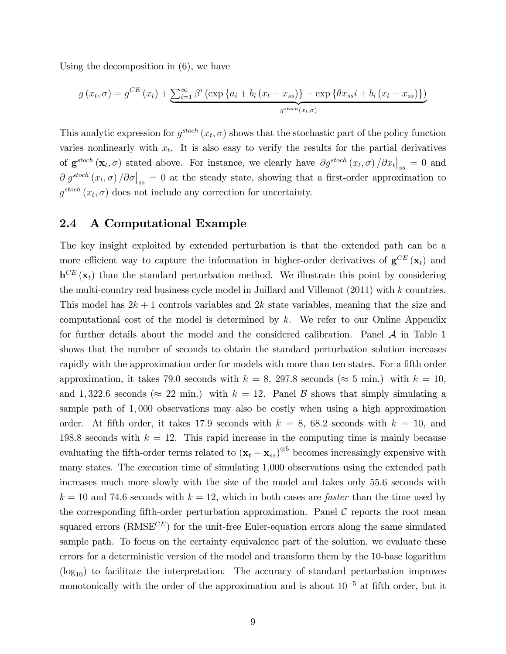Using the decomposition in (6), we have

$$
g(x_t, \sigma) = g^{CE}(x_t) + \sum_{i=1}^{\infty} \beta^i \left( \exp\left\{ a_i + b_i \left( x_t - x_{ss} \right) \right\} - \exp\left\{ \theta x_{ss} i + b_i \left( x_t - x_{ss} \right) \right\} \right)
$$

$$
g^{stoch}(x_t, \sigma)
$$

This analytic expression for  $g^{stoch}(x_t, \sigma)$  shows that the stochastic part of the policy function varies nonlinearly with  $x_t$ . It is also easy to verify the results for the partial derivatives of  $\mathbf{g}^{stoch}(\mathbf{x}_t, \sigma)$  stated above. For instance, we clearly have  $\partial g^{stoch}(x_t, \sigma)/\partial x_t\big|_{ss} = 0$  and  $\partial g^{stoch}(x_t, \sigma) / \partial \sigma$ <sub>ss</sub> = 0 at the steady state, showing that a first-order approximation to  $g^{stoch}(x_t, \sigma)$  does not include any correction for uncertainty.

## 2.4 A Computational Example

The key insight exploited by extended perturbation is that the extended path can be a more efficient way to capture the information in higher-order derivatives of  $\mathbf{g}^{CE}(\mathbf{x}_t)$  and  $h^{CE}(\mathbf{x}_t)$  than the standard perturbation method. We illustrate this point by considering the multi-country real business cycle model in Juillard and Villemot (2011) with k countries. This model has  $2k + 1$  controls variables and  $2k$  state variables, meaning that the size and computational cost of the model is determined by  $k$ . We refer to our Online Appendix for further details about the model and the considered calibration. Panel  $\mathcal A$  in Table 1 shows that the number of seconds to obtain the standard perturbation solution increases rapidly with the approximation order for models with more than ten states. For a fifth order approximation, it takes 79.0 seconds with  $k = 8$ , 297.8 seconds ( $\approx$  5 min.) with  $k = 10$ , and 1,322.6 seconds ( $\approx$  22 min.) with  $k = 12$ . Panel B shows that simply simulating a sample path of 1; 000 observations may also be costly when using a high approximation order. At fifth order, it takes 17.9 seconds with  $k = 8$ , 68.2 seconds with  $k = 10$ , and 198.8 seconds with  $k = 12$ . This rapid increase in the computing time is mainly because evaluating the fifth-order terms related to  $(\mathbf{x}_t - \mathbf{x}_{ss})^{\otimes 5}$  becomes increasingly expensive with many states. The execution time of simulating 1,000 observations using the extended path increases much more slowly with the size of the model and takes only 55.6 seconds with  $k = 10$  and 74.6 seconds with  $k = 12$ , which in both cases are *faster* than the time used by the corresponding fifth-order perturbation approximation. Panel  $\mathcal C$  reports the root mean squared errors  $(RMSE^{CE})$  for the unit-free Euler-equation errors along the same simulated sample path. To focus on the certainty equivalence part of the solution, we evaluate these errors for a deterministic version of the model and transform them by the 10-base logarithm  $(log_{10})$  to facilitate the interpretation. The accuracy of standard perturbation improves monotonically with the order of the approximation and is about  $10^{-5}$  at fifth order, but it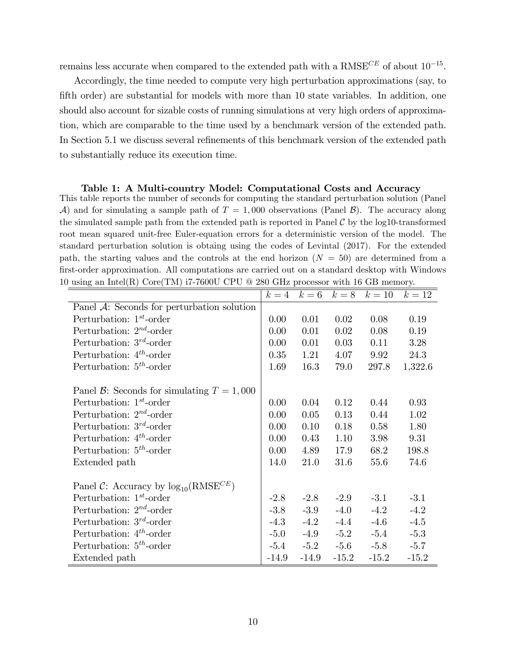remains less accurate when compared to the extended path with a  $RMSE^{CE}$  of about  $10^{-15}$ .

Accordingly, the time needed to compute very high perturbation approximations (say, to fifth order) are substantial for models with more than 10 state variables. In addition, one should also account for sizable costs of running simulations at very high orders of approximation, which are comparable to the time used by a benchmark version of the extended path. In Section 5.1 we discuss several refinements of this benchmark version of the extended path to substantially reduce its execution time.

This table reports the number of seconds for computing the standard perturbation solution (Panel A) and for simulating a sample path of  $T = 1,000$  observations (Panel B). The accuracy along the simulated sample path from the extended path is reported in Panel  $\mathcal C$  by the log10-transformed root mean squared unit-free Euler-equation errors for a deterministic version of the model. The standard perturbation solution is obtaing using the codes of Levintal (2017). For the extended path, the starting values and the controls at the end horizon  $(N = 50)$  are determined from a first-order approximation. All computations are carried out on a standard desktop with Windows

10 using an Intel(R) Core(TM) i7-7600U CPU @ 280 GHz processor with 16 GB memory.

|                                               | $k=4$   | $k=6$   | $k=8$   | $k=10$  | $k=12$  |
|-----------------------------------------------|---------|---------|---------|---------|---------|
| Panel $A$ : Seconds for perturbation solution |         |         |         |         |         |
| Perturbation: $1st$ -order                    | 0.00    | 0.01    | 0.02    | 0.08    | 0.19    |
| Perturbation: $2^{nd}$ -order                 | 0.00    | 0.01    | 0.02    | 0.08    | 0.19    |
| Perturbation: $3^{rd}$ -order                 | 0.00    | 0.01    | 0.03    | 0.11    | 3.28    |
| Perturbation: $4^{th}$ -order                 | 0.35    | 1.21    | 4.07    | 9.92    | 24.3    |
| Perturbation: $5th$ -order                    | 1.69    | 16.3    | 79.0    | 297.8   | 1,322.6 |
| Panel B: Seconds for simulating $T = 1,000$   |         |         |         |         |         |
| Perturbation: $1^{st}$ -order                 | 0.00    | 0.04    | 0.12    | 0.44    | 0.93    |
| Perturbation: $2^{nd}$ -order                 | 0.00    | 0.05    | 0.13    | 0.44    | 1.02    |
| Perturbation: $3^{rd}$ -order                 | 0.00    | 0.10    | 0.18    | 0.58    | 1.80    |
| Perturbation: $4^{th}$ -order                 | 0.00    | 0.43    | 1.10    | 3.98    | 9.31    |
| Perturbation: $5^{th}$ -order                 | 0.00    | 4.89    | 17.9    | 68.2    | 198.8   |
| Extended path                                 | 14.0    | 21.0    | 31.6    | 55.6    | 74.6    |
| Panel C: Accuracy by $log_{10}(RMSE^{CE})$    |         |         |         |         |         |
| Perturbation: $1^{st}$ -order                 | $-2.8$  | $-2.8$  | $-2.9$  | $-3.1$  | $-3.1$  |
| Perturbation: $2^{nd}$ -order                 | $-3.8$  | $-3.9$  | $-4.0$  | $-4.2$  | $-4.2$  |
| Perturbation: $3^{rd}$ -order                 | $-4.3$  | $-4.2$  | $-4.4$  | $-4.6$  | $-4.5$  |
| Perturbation: $4^{th}$ -order                 | $-5.0$  | $-4.9$  | $-5.2$  | $-5.4$  | $-5.3$  |
| Perturbation: $5th$ -order                    | $-5.4$  | $-5.2$  | $-5.6$  | $-5.8$  | $-5.7$  |
| Extended path                                 | $-14.9$ | $-14.9$ | $-15.2$ | $-15.2$ | $-15.2$ |

Table 1: A Multi-country Model: Computational Costs and Accuracy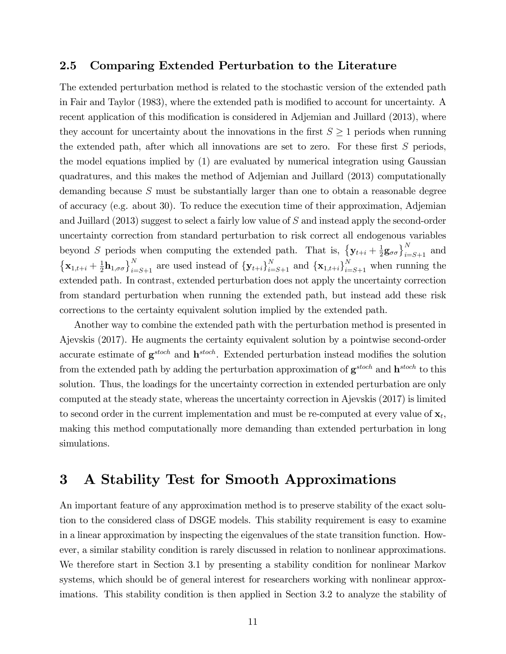## 2.5 Comparing Extended Perturbation to the Literature

The extended perturbation method is related to the stochastic version of the extended path in Fair and Taylor (1983), where the extended path is modified to account for uncertainty. A recent application of this modification is considered in Adjemian and Juillard (2013), where they account for uncertainty about the innovations in the first  $S \geq 1$  periods when running the extended path, after which all innovations are set to zero. For these first  $S$  periods, the model equations implied by (1) are evaluated by numerical integration using Gaussian quadratures, and this makes the method of Adjemian and Juillard (2013) computationally demanding because S must be substantially larger than one to obtain a reasonable degree of accuracy (e.g. about 30). To reduce the execution time of their approximation, Adjemian and Juillard (2013) suggest to select a fairly low value of S and instead apply the second-order uncertainty correction from standard perturbation to risk correct all endogenous variables beyond S periods when computing the extended path. That is,  $\{y_{t+i} + \frac{1}{2}$  $\frac{1}{2}$ g<sub> $\sigma$ </sub> $\Big\}$ <sub>i=S+1</sub> and  ${x_{1,t+i} + \frac{1}{2}}$  $\left\{\mathbf{a}_{1,\sigma\sigma}\right\}_{i=S+1}^{N}$  are used instead of  $\left\{\mathbf{y}_{t+i}\right\}_{i=S+1}^{N}$  and  $\left\{\mathbf{x}_{1,t+i}\right\}_{i=S+1}^{N}$  when running the extended path. In contrast, extended perturbation does not apply the uncertainty correction from standard perturbation when running the extended path, but instead add these risk corrections to the certainty equivalent solution implied by the extended path.

Another way to combine the extended path with the perturbation method is presented in Ajevskis (2017). He augments the certainty equivalent solution by a pointwise second-order accurate estimate of  $g^{stoch}$  and  $h^{stoch}$ . Extended perturbation instead modifies the solution from the extended path by adding the perturbation approximation of  $g^{stoch}$  and  $h^{stoch}$  to this solution. Thus, the loadings for the uncertainty correction in extended perturbation are only computed at the steady state, whereas the uncertainty correction in Ajevskis (2017) is limited to second order in the current implementation and must be re-computed at every value of  $\mathbf{x}_t$ , making this method computationally more demanding than extended perturbation in long simulations.

# 3 A Stability Test for Smooth Approximations

An important feature of any approximation method is to preserve stability of the exact solution to the considered class of DSGE models. This stability requirement is easy to examine in a linear approximation by inspecting the eigenvalues of the state transition function. However, a similar stability condition is rarely discussed in relation to nonlinear approximations. We therefore start in Section 3.1 by presenting a stability condition for nonlinear Markov systems, which should be of general interest for researchers working with nonlinear approximations. This stability condition is then applied in Section 3.2 to analyze the stability of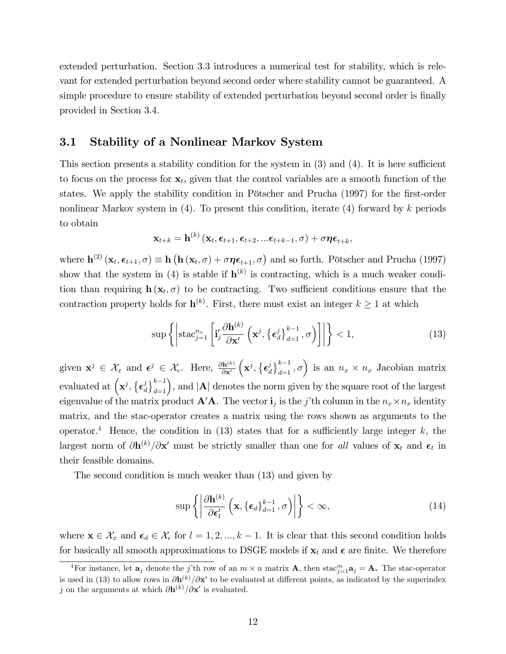extended perturbation. Section 3.3 introduces a numerical test for stability, which is relevant for extended perturbation beyond second order where stability cannot be guaranteed. A simple procedure to ensure stability of extended perturbation beyond second order is finally provided in Section 3.4.

# 3.1 Stability of a Nonlinear Markov System

This section presents a stability condition for the system in  $(3)$  and  $(4)$ . It is here sufficient to focus on the process for  $x_t$ , given that the control variables are a smooth function of the states. We apply the stability condition in Pötscher and Prucha (1997) for the first-order nonlinear Markov system in  $(4)$ . To present this condition, iterate  $(4)$  forward by k periods to obtain

$$
\mathbf{x}_{t+k} = \mathbf{h}^{(k)}\left(\mathbf{x}_{t}, \boldsymbol{\epsilon}_{t+1}, \boldsymbol{\epsilon}_{t+2}, ... \boldsymbol{\epsilon}_{t+k-1}, \sigma\right) + \sigma \boldsymbol{\eta} \boldsymbol{\epsilon}_{t+k},
$$

where  $\mathbf{h}^{(2)}\left(\mathbf{x}_t, \boldsymbol{\epsilon}_{t+1}, \sigma\right) \equiv \mathbf{h}\left(\mathbf{h}\left(\mathbf{x}_t, \sigma\right) + \sigma \boldsymbol{\eta} \boldsymbol{\epsilon}_{t+1}, \sigma\right)$  and so forth. Pötscher and Prucha (1997) show that the system in (4) is stable if  $\mathbf{h}^{(k)}$  is contracting, which is a much weaker condition than requiring  $\mathbf{h}(\mathbf{x}_t, \sigma)$  to be contracting. Two sufficient conditions ensure that the contraction property holds for  $\mathbf{h}^{(k)}$ . First, there must exist an integer  $k \geq 1$  at which

$$
\sup\left\{\left|\operatorname{stac}_{j=1}^{n_x}\left[\mathbf{i}'_j\frac{\partial\mathbf{h}^{(k)}}{\partial\mathbf{x}'}\left(\mathbf{x}^j,\left\{\boldsymbol{\epsilon}_d^j\right\}_{d=1}^{k-1},\sigma\right)\right]\right|\right\}<1,\tag{13}
$$

given  $\mathbf{x}^j \in \mathcal{X}_x$  and  $\boldsymbol{\epsilon}^j \in \mathcal{X}_{\epsilon}$ . Here,  $\frac{\partial \mathbf{h}^{(k)}}{\partial \mathbf{x}'}$  $\partial {\bf x'}$  $\left(\mathbf{x}^j, \left\{\boldsymbol{\epsilon}^j_{\scriptscriptstyle{d}}\right.\right.$  $\left\{ \begin{array}{l} i \ d \end{array} \right\}^{k-1}$ ,  $\sigma$ ) is an  $n_x \times n_x$  Jacobian matrix evaluated at  $(\mathbf{x}^j, \{\boldsymbol{\epsilon}_a^j\})$  $\left(\begin{array}{c}d\end{array}\right)^{k-1}_{d=1}$ , and  $|\mathbf{A}|$  denotes the norm given by the square root of the largest eigenvalue of the matrix product  $\mathbf{A}'\mathbf{A}$ . The vector  $\mathbf{i}_j$  is the j'th column in the  $n_x \times n_x$  identity matrix, and the stac-operator creates a matrix using the rows shown as arguments to the operator.<sup>4</sup> Hence, the condition in (13) states that for a sufficiently large integer k, the largest norm of  $\partial \mathbf{h}^{(k)}/\partial \mathbf{x}'$  must be strictly smaller than one for all values of  $\mathbf{x}_t$  and  $\boldsymbol{\epsilon}_t$  in their feasible domains.

The second condition is much weaker than (13) and given by

$$
\sup \left\{ \left| \frac{\partial \mathbf{h}^{(k)}}{\partial \boldsymbol{\epsilon}'_l} \left( \mathbf{x}, \{\boldsymbol{\epsilon}_d\}_{d=1}^{k-1}, \sigma \right) \right| \right\} < \infty, \tag{14}
$$

where  $\mathbf{x} \in \mathcal{X}_x$  and  $\boldsymbol{\epsilon}_d \in \mathcal{X}_\epsilon$  for  $l = 1, 2, ..., k - 1$ . It is clear that this second condition holds for basically all smooth approximations to DSGE models if  $x_t$  and  $\epsilon$  are finite. We therefore

<sup>&</sup>lt;sup>4</sup>For instance, let  $\mathbf{a}_j$  denote the j'th row of an  $m \times n$  matrix  $\mathbf{A}$ , then stac $_{j=1}^m \mathbf{a}_j = \mathbf{A}$ . The stac-operator is used in (13) to allow rows in  $\partial h^{(k)}/\partial x'$  to be evaluated at different points, as indicated by the superindex j on the arguments at which  $\partial \mathbf{h}^{(k)}/\partial \mathbf{x}'$  is evaluated.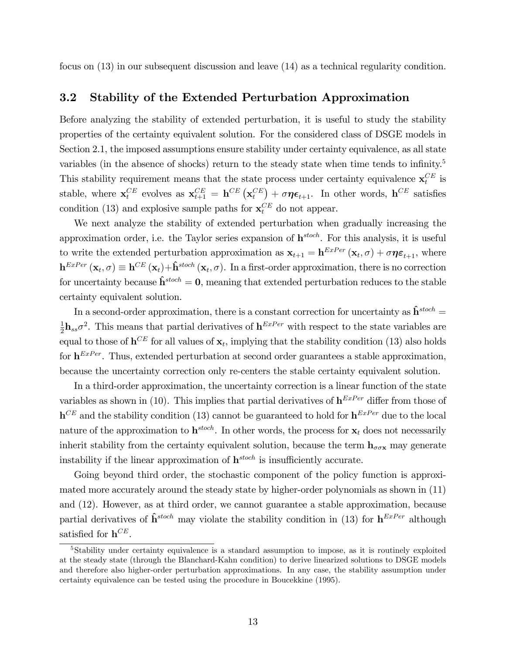focus on (13) in our subsequent discussion and leave (14) as a technical regularity condition.

# 3.2 Stability of the Extended Perturbation Approximation

Before analyzing the stability of extended perturbation, it is useful to study the stability properties of the certainty equivalent solution. For the considered class of DSGE models in Section 2.1, the imposed assumptions ensure stability under certainty equivalence, as all state variables (in the absence of shocks) return to the steady state when time tends to infinity.<sup>5</sup> This stability requirement means that the state process under certainty equivalence  $\mathbf{x}_t^{CE}$  is stable, where  $\mathbf{x}_t^{CE}$  evolves as  $\mathbf{x}_{t+1}^{CE} = \mathbf{h}^{CE} (\mathbf{x}_t^{CE}) + \sigma \eta \epsilon_{t+1}$ . In other words,  $\mathbf{h}^{CE}$  satisfies condition (13) and explosive sample paths for  $\mathbf{x}_t^{CE}$  do not appear.

We next analyze the stability of extended perturbation when gradually increasing the approximation order, i.e. the Taylor series expansion of  $h^{stoch}$ . For this analysis, it is useful to write the extended perturbation approximation as  $\mathbf{x}_{t+1} = \mathbf{h}^{ExPer}(\mathbf{x}_t, \sigma) + \sigma \eta \boldsymbol{\varepsilon}_{t+1}$ , where  $\mathbf{h}^{ExPer}\left(\mathbf{x}_t, \sigma\right) \equiv \mathbf{h}^{CE}\left(\mathbf{x}_t\right) + \mathbf{\hat{h}}^{stoch}\left(\mathbf{x}_t, \sigma\right)$ . In a first-order approximation, there is no correction for uncertainty because  $\hat{\mathbf{h}}^{stoch} = \mathbf{0}$ , meaning that extended perturbation reduces to the stable certainty equivalent solution.

In a second-order approximation, there is a constant correction for uncertainty as  $\hat{\mathbf{h}}^{stoch} =$ 1  $\frac{1}{2}$ **h**<sub>ss</sub> $\sigma^2$ . This means that partial derivatives of **h**<sup>ExPer</sup> with respect to the state variables are equal to those of  $h^{CE}$  for all values of  $x_t$ , implying that the stability condition (13) also holds for  $h^{ExPer}$ . Thus, extended perturbation at second order guarantees a stable approximation, because the uncertainty correction only re-centers the stable certainty equivalent solution.

In a third-order approximation, the uncertainty correction is a linear function of the state variables as shown in (10). This implies that partial derivatives of  $h^{ExPer}$  differ from those of  $h^{CE}$  and the stability condition (13) cannot be guaranteed to hold for  $h^{ExPer}$  due to the local nature of the approximation to  $\mathbf{h}^{stoch}$ . In other words, the process for  $\mathbf{x}_t$  does not necessarily inherit stability from the certainty equivalent solution, because the term  $h_{\sigma\sigma x}$  may generate instability if the linear approximation of  $h^{stoch}$  is insufficiently accurate.

Going beyond third order, the stochastic component of the policy function is approximated more accurately around the steady state by higher-order polynomials as shown in (11) and (12). However, as at third order, we cannot guarantee a stable approximation, because partial derivatives of  $\hat{\mathbf{h}}^{stoch}$  may violate the stability condition in (13) for  $\mathbf{h}^{Exper}$  although satisfied for  $h^{CE}$ .

<sup>&</sup>lt;sup>5</sup>Stability under certainty equivalence is a standard assumption to impose, as it is routinely exploited at the steady state (through the Blanchard-Kahn condition) to derive linearized solutions to DSGE models and therefore also higher-order perturbation approximations. In any case, the stability assumption under certainty equivalence can be tested using the procedure in Boucekkine (1995).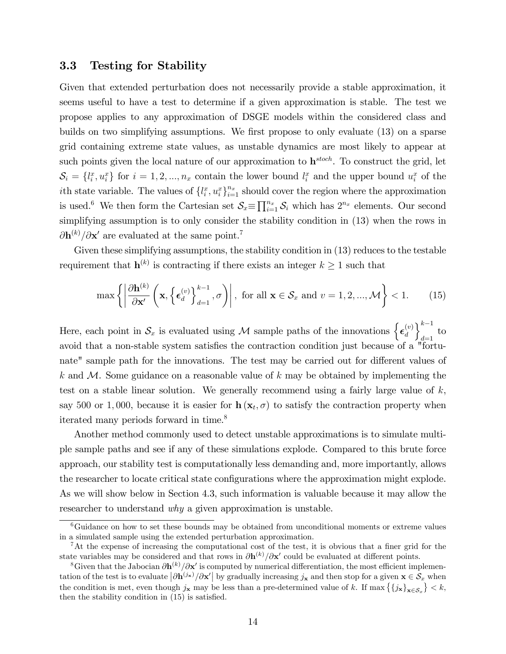### 3.3 Testing for Stability

Given that extended perturbation does not necessarily provide a stable approximation, it seems useful to have a test to determine if a given approximation is stable. The test we propose applies to any approximation of DSGE models within the considered class and builds on two simplifying assumptions. We first propose to only evaluate (13) on a sparse grid containing extreme state values, as unstable dynamics are most likely to appear at such points given the local nature of our approximation to  $h^{stoch}$ . To construct the grid, let  $\mathcal{S}_i = \{l_i^x, u_i^x\}$  for  $i = 1, 2, ..., n_x$  contain the lower bound  $l_i^x$  and the upper bound  $u_i^x$  of the *i*th state variable. The values of  $\{l_i^x, u_i^x\}_{i=1}^{n_x}$  should cover the region where the approximation is used.<sup>6</sup> We then form the Cartesian set  $\mathcal{S}_x \equiv \prod_{i=1}^{n_x} \mathcal{S}_i$  which has  $2^{n_x}$  elements. Our second simplifying assumption is to only consider the stability condition in (13) when the rows in  $\partial \mathbf{h}^{(k)}/\partial \mathbf{x}'$  are evaluated at the same point.<sup>7</sup>

Given these simplifying assumptions, the stability condition in (13) reduces to the testable requirement that  $\mathbf{h}^{(k)}$  is contracting if there exists an integer  $k \geq 1$  such that

$$
\max\left\{ \left| \frac{\partial \mathbf{h}^{(k)}}{\partial \mathbf{x}'} \left( \mathbf{x}, \left\{ \boldsymbol{\epsilon}_d^{(v)} \right\}_{d=1}^{k-1}, \sigma \right) \right|, \text{ for all } \mathbf{x} \in \mathcal{S}_x \text{ and } v = 1, 2, ..., \mathcal{M} \right\} < 1. \tag{15}
$$

Here, each point in  $S_x$  is evaluated using M sample paths of the innovations  $\left\{\boldsymbol{\epsilon}_d^{(v)}\right\}$ d  $\lambda^{k-1}$  $\int_{d=1}$  to avoid that a non-stable system satisfies the contraction condition just because of a "fortunate" sample path for the innovations. The test may be carried out for different values of k and  $M$ . Some guidance on a reasonable value of k may be obtained by implementing the test on a stable linear solution. We generally recommend using a fairly large value of  $k$ , say 500 or 1,000, because it is easier for  $\mathbf{h}(\mathbf{x}_t, \sigma)$  to satisfy the contraction property when iterated many periods forward in time.<sup>8</sup>

Another method commonly used to detect unstable approximations is to simulate multiple sample paths and see if any of these simulations explode. Compared to this brute force approach, our stability test is computationally less demanding and, more importantly, allows the researcher to locate critical state configurations where the approximation might explode. As we will show below in Section 4.3, such information is valuable because it may allow the researcher to understand why a given approximation is unstable.

 ${}^{6}$ Guidance on how to set these bounds may be obtained from unconditional moments or extreme values in a simulated sample using the extended perturbation approximation.

<sup>&</sup>lt;sup>7</sup>At the expense of increasing the computational cost of the test, it is obvious that a finer grid for the state variables may be considered and that rows in  $\partial h^{(k)}/\partial x'$  could be evaluated at different points.

<sup>&</sup>lt;sup>8</sup>Given that the Jabocian  $\partial \mathbf{h}^{(k)}/\partial \mathbf{x}'$  is computed by numerical differentiation, the most efficient implementation of the test is to evaluate  $\left|\partial \mathbf{h}^{(j_{\mathbf{x}})}/\partial \mathbf{x}'\right|$  by gradually increasing  $j_{\mathbf{x}}$  and then stop for a given  $\mathbf{x} \in \mathcal{S}_x$  when the condition is met, even though  $j_x$  may be less than a pre-determined value of k. If  $\max\left\{\left\{j_x\right\}_{x \in S_x}\right\} < k$ , then the stability condition in  $(15)$  is satisfied.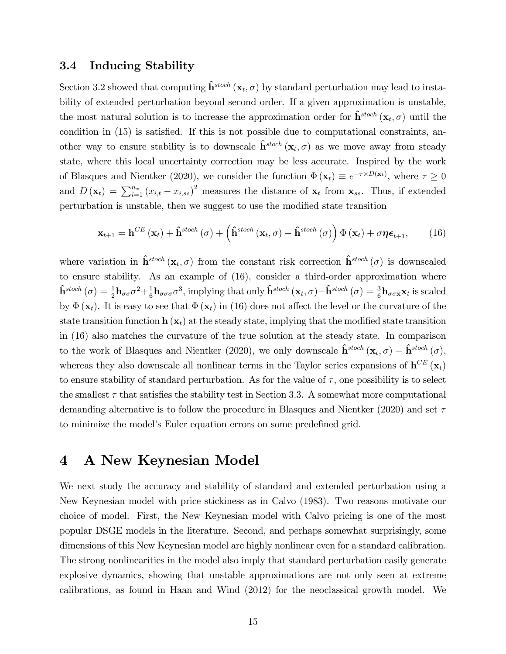### 3.4 Inducing Stability

Section 3.2 showed that computing  $\hat{\mathbf{h}}^{stoch} (\mathbf{x}_t, \sigma)$  by standard perturbation may lead to instability of extended perturbation beyond second order. If a given approximation is unstable, the most natural solution is to increase the approximation order for  $\hat{\mathbf{h}}^{stoch}(\mathbf{x}_t, \sigma)$  until the condition in  $(15)$  is satisfied. If this is not possible due to computational constraints, another way to ensure stability is to downscale  $\hat{\mathbf{h}}^{stoch}(\mathbf{x}_t, \sigma)$  as we move away from steady state, where this local uncertainty correction may be less accurate. Inspired by the work of Blasques and Nientker (2020), we consider the function  $\Phi(\mathbf{x}_t) \equiv e^{-\tau \times D(\mathbf{x}_t)}$ , where  $\tau \ge 0$ and  $D(\mathbf{x}_t) = \sum_{i=1}^{n_x} (x_{i,t} - x_{i,ss})^2$  measures the distance of  $\mathbf{x}_t$  from  $\mathbf{x}_{ss}$ . Thus, if extended perturbation is unstable, then we suggest to use the modified state transition

$$
\mathbf{x}_{t+1} = \mathbf{h}^{CE}(\mathbf{x}_t) + \mathbf{\hat{h}}^{stoch}(\sigma) + \left(\mathbf{\hat{h}}^{stoch}(\mathbf{x}_t, \sigma) - \mathbf{\hat{h}}^{stoch}(\sigma)\right) \Phi(\mathbf{x}_t) + \sigma \boldsymbol{\eta} \boldsymbol{\epsilon}_{t+1},
$$
(16)

where variation in  $\hat{\mathbf{h}}^{stoch} (\mathbf{x}_t, \sigma)$  from the constant risk correction  $\hat{\mathbf{h}}^{stoch} (\sigma)$  is downscaled to ensure stability. As an example of (16), consider a third-order approximation where  $\hat{\mathbf{h}}^{stoch}\left( \sigma \right) = \frac{1}{2}\mathbf{h}_{\sigma \sigma} \sigma^2 { + \frac{1}{6}}$  $\frac{1}{6}$ **h**<sub> $\sigma \sigma \sigma$ </sub><sup>3</sup>, implying that only  $\hat{\mathbf{h}}^{stoch}(\mathbf{x}_t, \sigma) - \hat{\mathbf{h}}^{stoch}(\sigma) = \frac{3}{6}$ **h** $\sigma \sigma \mathbf{x} \mathbf{x}_t$  is scaled by  $\Phi(\mathbf{x}_t)$ . It is easy to see that  $\Phi(\mathbf{x}_t)$  in (16) does not affect the level or the curvature of the state transition function  $\mathbf{h}(\mathbf{x}_t)$  at the steady state, implying that the modified state transition in (16) also matches the curvature of the true solution at the steady state. In comparison to the work of Blasques and Nientker (2020), we only downscale  $\hat{\mathbf{h}}^{stoch}(\mathbf{x}_t, \sigma) - \hat{\mathbf{h}}^{stoch}(\sigma)$ , whereas they also downscale all nonlinear terms in the Taylor series expansions of  $h^{CE} (\mathbf{x}_t)$ to ensure stability of standard perturbation. As for the value of  $\tau$ , one possibility is to select the smallest  $\tau$  that satisfies the stability test in Section 3.3. A somewhat more computational demanding alternative is to follow the procedure in Blasques and Nientker (2020) and set  $\tau$ to minimize the model's Euler equation errors on some predefined grid.

# 4 A New Keynesian Model

We next study the accuracy and stability of standard and extended perturbation using a New Keynesian model with price stickiness as in Calvo (1983). Two reasons motivate our choice of model. First, the New Keynesian model with Calvo pricing is one of the most popular DSGE models in the literature. Second, and perhaps somewhat surprisingly, some dimensions of this New Keynesian model are highly nonlinear even for a standard calibration. The strong nonlinearities in the model also imply that standard perturbation easily generate explosive dynamics, showing that unstable approximations are not only seen at extreme calibrations, as found in Haan and Wind (2012) for the neoclassical growth model. We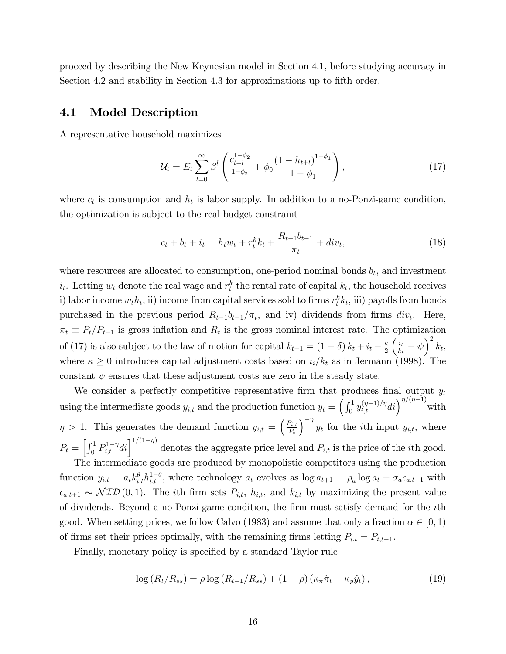proceed by describing the New Keynesian model in Section 4.1, before studying accuracy in Section 4.2 and stability in Section 4.3 for approximations up to fifth order.

### 4.1 Model Description

A representative household maximizes

$$
\mathcal{U}_t = E_t \sum_{l=0}^{\infty} \beta^l \left( \frac{c_{t+l}^{1-\phi_2}}{1-\phi_2} + \phi_0 \frac{\left(1 - h_{t+l}\right)^{1-\phi_1}}{1-\phi_1} \right),\tag{17}
$$

where  $c_t$  is consumption and  $h_t$  is labor supply. In addition to a no-Ponzi-game condition, the optimization is subject to the real budget constraint

$$
c_t + b_t + i_t = h_t w_t + r_t^k k_t + \frac{R_{t-1} b_{t-1}}{\pi_t} + div_t,
$$
\n(18)

where resources are allocated to consumption, one-period nominal bonds  $b_t$ , and investment  $i_t$ . Letting  $w_t$  denote the real wage and  $r_t^k$  the rental rate of capital  $k_t$ , the household receives i) labor income  $w_t h_t$ , ii) income from capital services sold to firms  $r_t^k k_t$ , iii) payoffs from bonds purchased in the previous period  $R_{t-1}b_{t-1}/\pi_t$ , and iv) dividends from firms  $div_t$ . Here,  $\pi_t \equiv P_t/P_{t-1}$  is gross inflation and  $R_t$  is the gross nominal interest rate. The optimization of (17) is also subject to the law of motion for capital  $k_{t+1} = (1 - \delta) k_t + i_t - \frac{\kappa}{2}$ 2  $\int i_t$  $\frac{i_t}{k_t} - \psi\Big)^2 k_t,$ where  $\kappa \geq 0$  introduces capital adjustment costs based on  $i_i/k_t$  as in Jermann (1998). The constant  $\psi$  ensures that these adjustment costs are zero in the steady state.

We consider a perfectly competitive representative firm that produces final output  $y_t$ using the intermediate goods  $y_{i,t}$  and the production function  $y_t = \left(\int_0^1 y_{i,t}^{(\eta-1)/\eta} dt\right)^{\eta/(\eta-1)}$  with  $\eta > 1$ . This generates the demand function  $y_{i,t} = \left(\frac{P_{i,t}}{P_{i,t}}\right)$  $P_t$  $\int_{0}^{-\eta} y_t$  for the *i*th input  $y_{i,t}$ , where  $P_t = \left[\int_0^1 P_{i,t}^{1-\eta}di\right]^{1/(1-\eta)}$  denotes the aggregate price level and  $P_{i,t}$  is the price of the *i*th good. The intermediate goods are produced by monopolistic competitors using the production function  $y_{i,t} = a_t k_{i,t}^{\theta} h_{i,t}^{1-\theta}$ , where technology  $a_t$  evolves as  $\log a_{t+1} = \rho_a \log a_t + \sigma_a \epsilon_{a,t+1}$  with  $\epsilon_{a,t+1} \sim \text{NID}(0, 1)$ . The ith firm sets  $P_{i,t}$ ,  $h_{i,t}$ , and  $k_{i,t}$  by maximizing the present value of dividends. Beyond a no-Ponzi-game condition, the firm must satisfy demand for the *i*th good. When setting prices, we follow Calvo (1983) and assume that only a fraction  $\alpha \in [0,1)$ of firms set their prices optimally, with the remaining firms letting  $P_{i,t} = P_{i,t-1}$ .

Finally, monetary policy is specified by a standard Taylor rule

$$
\log (R_t/R_{ss}) = \rho \log (R_{t-1}/R_{ss}) + (1-\rho) (\kappa_\pi \hat{\pi}_t + \kappa_y \hat{y}_t), \qquad (19)
$$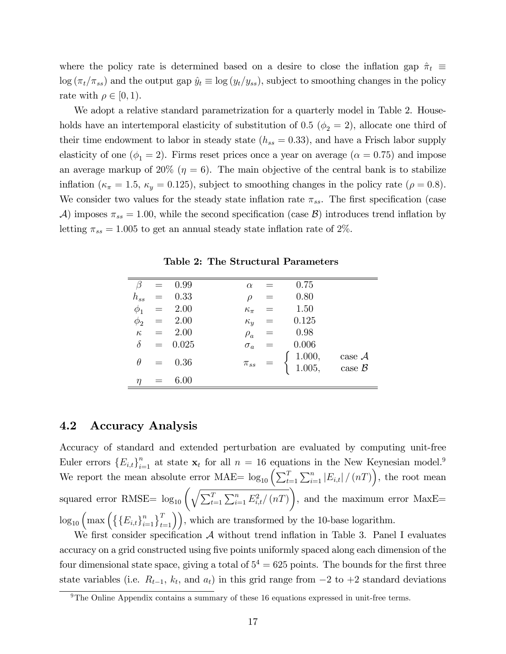where the policy rate is determined based on a desire to close the inflation gap  $\hat{\pi}_t \equiv$  $\log (\pi_t/\pi_{ss})$  and the output gap  $\hat{y}_t \equiv \log (y_t/y_{ss})$ , subject to smoothing changes in the policy rate with  $\rho \in [0, 1)$ .

We adopt a relative standard parametrization for a quarterly model in Table 2. Households have an intertemporal elasticity of substitution of 0.5 ( $\phi_2 = 2$ ), allocate one third of their time endowment to labor in steady state  $(h_{ss} = 0.33)$ , and have a Frisch labor supply elasticity of one ( $\phi_1 = 2$ ). Firms reset prices once a year on average ( $\alpha = 0.75$ ) and impose an average markup of 20% ( $\eta = 6$ ). The main objective of the central bank is to stabilize inflation ( $\kappa_{\pi} = 1.5$ ,  $\kappa_{y} = 0.125$ ), subject to smoothing changes in the policy rate ( $\rho = 0.8$ ). We consider two values for the steady state inflation rate  $\pi_{ss}$ . The first specification (case A) imposes  $\pi_{ss} = 1.00$ , while the second specification (case B) introduces trend inflation by letting  $\pi_{ss} = 1.005$  to get an annual steady state inflation rate of 2%.

| $\beta$  |     | $= 0.99$        | $\alpha$       |                                | 0.75                                                                    |                      |
|----------|-----|-----------------|----------------|--------------------------------|-------------------------------------------------------------------------|----------------------|
| $h_{ss}$ |     | $= 0.33$        | $\rho$         |                                | 0.80                                                                    |                      |
| $\phi_1$ |     | $= 2.00$        | $\kappa_{\pi}$ |                                | 1.50                                                                    |                      |
| $\phi_2$ |     | $= 2.00$        |                | $\kappa_y \quad =$             | 0.125                                                                   |                      |
|          |     | $\kappa = 2.00$ | $\rho_a$       |                                | 0.98                                                                    |                      |
| $\delta$ |     | $= 0.025$       | $\sigma_a$     | $\!\!\!=\!\!\!$                | 0.006                                                                   |                      |
| $\theta$ |     | $= 0.36$        |                | $\pi_{ss} \quad = \quad \cdot$ | $\left\{\n \begin{array}{c}\n 1.000, \\ 1.005, \n \end{array}\n\right.$ | case $A$<br>case $B$ |
| $\eta$   | $=$ | 6.00            |                |                                |                                                                         |                      |

Table 2: The Structural Parameters

### 4.2 Accuracy Analysis

Accuracy of standard and extended perturbation are evaluated by computing unit-free Euler errors  ${E_{i,t}}_{i=1}^n$  at state  $\mathbf{x}_t$  for all  $n = 16$  equations in the New Keynesian model.<sup>9</sup> We report the mean absolute error MAE=  $\log_{10} \left( \sum_{t=1}^{T} \sum_{i=1}^{n} |E_{i,t}| / (nT) \right)$ , the root mean squared error RMSE=  $\log_{10} \left( \sqrt{\sum_{t=1}^{T} \sum_{i=1}^{n} E_{i,t}^2 / (nT)} \right)$  $\setminus$ , and the maximum error MaxE=  $\log_{10} \left( \max \left( \left\{ \{E_{i,t} \}_{t=1}^n \right\}_{t=1}^T \right) \right)$ , which are transformed by the 10-base logarithm.

We first consider specification  $\mathcal A$  without trend inflation in Table 3. Panel I evaluates accuracy on a grid constructed using five points uniformly spaced along each dimension of the four dimensional state space, giving a total of  $5^4 = 625$  points. The bounds for the first three state variables (i.e.  $R_{t-1}$ ,  $k_t$ , and  $a_t$ ) in this grid range from  $-2$  to  $+2$  standard deviations

<sup>9</sup>The Online Appendix contains a summary of these 16 equations expressed in unit-free terms.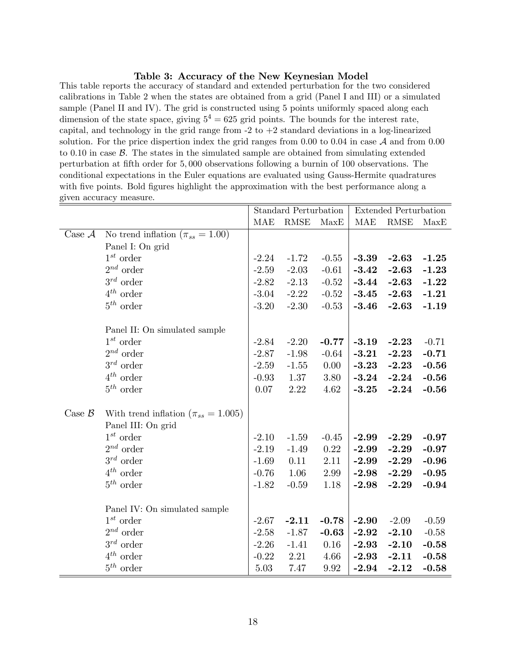#### Table 3: Accuracy of the New Keynesian Model

This table reports the accuracy of standard and extended perturbation for the two considered calibrations in Table 2 when the states are obtained from a grid (Panel I and III) or a simulated sample (Panel II and IV). The grid is constructed using 5 points uniformly spaced along each dimension of the state space, giving  $5^4 = 625$  grid points. The bounds for the interest rate, capital, and technology in the grid range from  $-2$  to  $+2$  standard deviations in a log-linearized solution. For the price dispertion index the grid ranges from  $0.00$  to  $0.04$  in case  $\mathcal A$  and from  $0.00$ to 0.10 in case  $\beta$ . The states in the simulated sample are obtained from simulating extended perturbation at Öfth order for 5; 000 observations following a burnin of 100 observations. The conditional expectations in the Euler equations are evaluated using Gauss-Hermite quadratures with five points. Bold figures highlight the approximation with the best performance along a given accuracy measure.

|                    |                                             | <b>Standard Perturbation</b> |         |          | <b>Extended Perturbation</b> |         |         |
|--------------------|---------------------------------------------|------------------------------|---------|----------|------------------------------|---------|---------|
|                    |                                             | MAE                          | RMSE    | MaxE     | MAE                          | RMSE    | MaxE    |
| Case $A$           | No trend inflation ( $\pi_{ss} = 1.00$ )    |                              |         |          |                              |         |         |
|                    | Panel I: On grid                            |                              |         |          |                              |         |         |
|                    | $1^{st}$ order                              | $-2.24$                      | $-1.72$ | $-0.55$  | $-3.39$                      | $-2.63$ | $-1.25$ |
|                    | $2^{nd}$ order                              | $-2.59$                      | $-2.03$ | $-0.61$  | $-3.42$                      | $-2.63$ | $-1.23$ |
|                    | $3^{rd}$ order                              | $-2.82$                      | $-2.13$ | $-0.52$  | $-3.44$                      | $-2.63$ | $-1.22$ |
|                    | $4^{th}$ order                              | $-3.04$                      | $-2.22$ | $-0.52$  | $-3.45$                      | $-2.63$ | $-1.21$ |
|                    | $5^{th}$ order                              | $-3.20$                      | $-2.30$ | $-0.53$  | $-3.46$                      | $-2.63$ | $-1.19$ |
|                    | Panel II: On simulated sample               |                              |         |          |                              |         |         |
|                    | $1^{st}$ order                              | $-2.84$                      | $-2.20$ | $-0.77$  | $-3.19$                      | $-2.23$ | $-0.71$ |
|                    | $2^{nd}$ order                              | $-2.87$                      | $-1.98$ | $-0.64$  | $-3.21$                      | $-2.23$ | $-0.71$ |
|                    | $3^{rd}$ order                              | $-2.59$                      | $-1.55$ | 0.00     | $-3.23$                      | $-2.23$ | $-0.56$ |
|                    | $4^{th}$ order                              | $-0.93$                      | 1.37    | 3.80     | $-3.24$                      | $-2.24$ | $-0.56$ |
|                    | $5^{th}$ order                              | 0.07                         | 2.22    | 4.62     | $-3.25$                      | $-2.24$ | $-0.56$ |
|                    |                                             |                              |         |          |                              |         |         |
| Case $\mathcal{B}$ | With trend inflation ( $\pi_{ss} = 1.005$ ) |                              |         |          |                              |         |         |
|                    | Panel III: On grid                          |                              |         |          |                              |         |         |
|                    | $1^{st}$ order                              | $-2.10$                      | $-1.59$ | $-0.45$  | $-2.99$                      | $-2.29$ | $-0.97$ |
|                    | $2^{nd}$ order                              | $-2.19$                      | $-1.49$ | $0.22\,$ | $-2.99$                      | $-2.29$ | $-0.97$ |
|                    | $3^{rd}$ order                              | $-1.69$                      | 0.11    | 2.11     | $-2.99$                      | $-2.29$ | $-0.96$ |
|                    | $4^{th}$ order                              | $-0.76$                      | 1.06    | 2.99     | $-2.98$                      | $-2.29$ | $-0.95$ |
|                    | $5^{th}$ order                              | $-1.82$                      | $-0.59$ | 1.18     | $-2.98$                      | $-2.29$ | $-0.94$ |
|                    | Panel IV: On simulated sample               |                              |         |          |                              |         |         |
|                    | $1^{st}$ order                              | $-2.67$                      | $-2.11$ | $-0.78$  | $-2.90$                      | $-2.09$ | $-0.59$ |
|                    | $2^{nd}$ order                              | $-2.58$                      | $-1.87$ | $-0.63$  | $-2.92$                      | $-2.10$ | $-0.58$ |
|                    | $3^{rd}$ order                              | $-2.26$                      | $-1.41$ | 0.16     | $-2.93$                      | $-2.10$ | $-0.58$ |
|                    | $4^{th}$ order                              | $-0.22$                      | 2.21    | 4.66     | $-2.93$                      | $-2.11$ | $-0.58$ |
|                    | $5^{th}$ order                              | $5.03\,$                     | 7.47    | 9.92     | $-2.94$                      | $-2.12$ | $-0.58$ |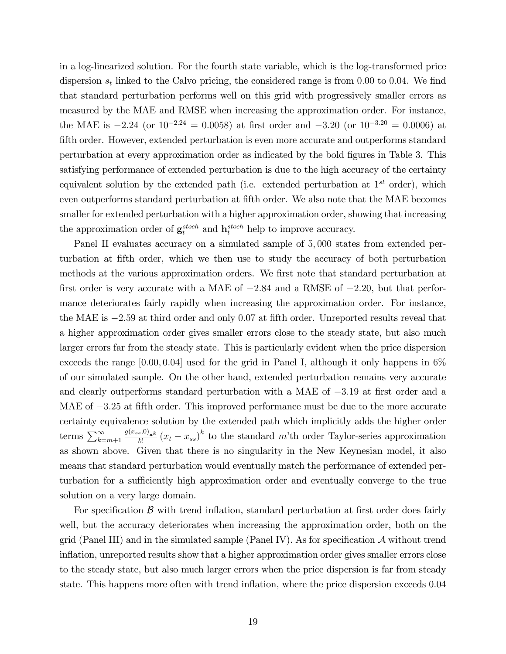in a log-linearized solution. For the fourth state variable, which is the log-transformed price dispersion  $s_t$  linked to the Calvo pricing, the considered range is from 0.00 to 0.04. We find that standard perturbation performs well on this grid with progressively smaller errors as measured by the MAE and RMSE when increasing the approximation order. For instance, the MAE is  $-2.24$  (or  $10^{-2.24} = 0.0058$ ) at first order and  $-3.20$  (or  $10^{-3.20} = 0.0006$ ) at fifth order. However, extended perturbation is even more accurate and outperforms standard perturbation at every approximation order as indicated by the bold Ögures in Table 3. This satisfying performance of extended perturbation is due to the high accuracy of the certainty equivalent solution by the extended path (i.e. extended perturbation at  $1^{st}$  order), which even outperforms standard perturbation at fifth order. We also note that the MAE becomes smaller for extended perturbation with a higher approximation order, showing that increasing the approximation order of  $\mathbf{g}_t^{stoch}$  and  $\mathbf{h}_t^{stoch}$  help to improve accuracy.

Panel II evaluates accuracy on a simulated sample of 5,000 states from extended perturbation at Öfth order, which we then use to study the accuracy of both perturbation methods at the various approximation orders. We first note that standard perturbation at first order is very accurate with a MAE of  $-2.84$  and a RMSE of  $-2.20$ , but that performance deteriorates fairly rapidly when increasing the approximation order. For instance, the MAE is  $-2.59$  at third order and only 0.07 at fifth order. Unreported results reveal that a higher approximation order gives smaller errors close to the steady state, but also much larger errors far from the steady state. This is particularly evident when the price dispersion exceeds the range  $[0.00, 0.04]$  used for the grid in Panel I, although it only happens in 6% of our simulated sample. On the other hand, extended perturbation remains very accurate and clearly outperforms standard perturbation with a MAE of  $-3.19$  at first order and a MAE of  $-3.25$  at fifth order. This improved performance must be due to the more accurate certainty equivalence solution by the extended path which implicitly adds the higher order terms  $\sum_{k=m+1}^{\infty} \frac{g(x_{ss},0)_{\mathbf{x}^k}}{k!}$  $\frac{(s,0)_x}{k!} (x_t - x_{ss})^k$  to the standard m'th order Taylor-series approximation as shown above. Given that there is no singularity in the New Keynesian model, it also means that standard perturbation would eventually match the performance of extended perturbation for a sufficiently high approximation order and eventually converge to the true solution on a very large domain.

For specification  $\beta$  with trend inflation, standard perturbation at first order does fairly well, but the accuracy deteriorates when increasing the approximation order, both on the grid (Panel III) and in the simulated sample (Panel IV). As for specification  $\mathcal A$  without trend inflation, unreported results show that a higher approximation order gives smaller errors close to the steady state, but also much larger errors when the price dispersion is far from steady state. This happens more often with trend inflation, where the price dispersion exceeds 0.04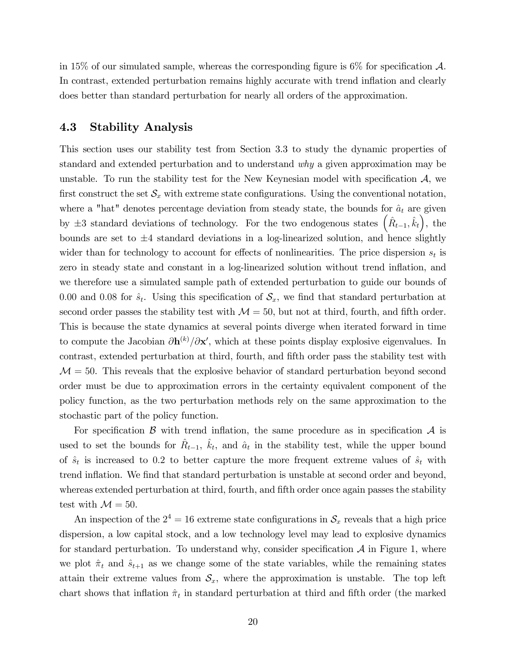in 15% of our simulated sample, whereas the corresponding figure is  $6\%$  for specification  $\mathcal{A}$ . In contrast, extended perturbation remains highly accurate with trend inflation and clearly does better than standard perturbation for nearly all orders of the approximation.

# 4.3 Stability Analysis

This section uses our stability test from Section 3.3 to study the dynamic properties of standard and extended perturbation and to understand why a given approximation may be unstable. To run the stability test for the New Keynesian model with specification  $\mathcal{A}$ , we first construct the set  $\mathcal{S}_x$  with extreme state configurations. Using the conventional notation, where a "hat" denotes percentage deviation from steady state, the bounds for  $\hat{a}_t$  are given by  $\pm 3$  standard deviations of technology. For the two endogenous states  $(\hat{R}_{t-1}, \hat{k}_t)$ , the bounds are set to  $\pm 4$  standard deviations in a log-linearized solution, and hence slightly wider than for technology to account for effects of nonlinearities. The price dispersion  $s_t$  is zero in steady state and constant in a log-linearized solution without trend inflation, and we therefore use a simulated sample path of extended perturbation to guide our bounds of 0.00 and 0.08 for  $\hat{s}_t$ . Using this specification of  $\mathcal{S}_x$ , we find that standard perturbation at second order passes the stability test with  $\mathcal{M} = 50$ , but not at third, fourth, and fifth order. This is because the state dynamics at several points diverge when iterated forward in time to compute the Jacobian  $\partial \mathbf{h}^{(k)}/\partial \mathbf{x}'$ , which at these points display explosive eigenvalues. In contrast, extended perturbation at third, fourth, and fifth order pass the stability test with  $\mathcal{M} = 50$ . This reveals that the explosive behavior of standard perturbation beyond second order must be due to approximation errors in the certainty equivalent component of the policy function, as the two perturbation methods rely on the same approximation to the stochastic part of the policy function.

For specification  $\beta$  with trend inflation, the same procedure as in specification  $\mathcal A$  is used to set the bounds for  $\hat{R}_{t-1}$ ,  $\hat{k}_t$ , and  $\hat{a}_t$  in the stability test, while the upper bound of  $\hat{s}_t$  is increased to 0.2 to better capture the more frequent extreme values of  $\hat{s}_t$  with trend inflation. We find that standard perturbation is unstable at second order and beyond, whereas extended perturbation at third, fourth, and fifth order once again passes the stability test with  $\mathcal{M} = 50$ .

An inspection of the  $2^4 = 16$  extreme state configurations in  $S_x$  reveals that a high price dispersion, a low capital stock, and a low technology level may lead to explosive dynamics for standard perturbation. To understand why, consider specification  $A$  in Figure 1, where we plot  $\hat{\pi}_t$  and  $\hat{s}_{t+1}$  as we change some of the state variables, while the remaining states attain their extreme values from  $S_x$ , where the approximation is unstable. The top left chart shows that inflation  $\hat{\pi}_t$  in standard perturbation at third and fifth order (the marked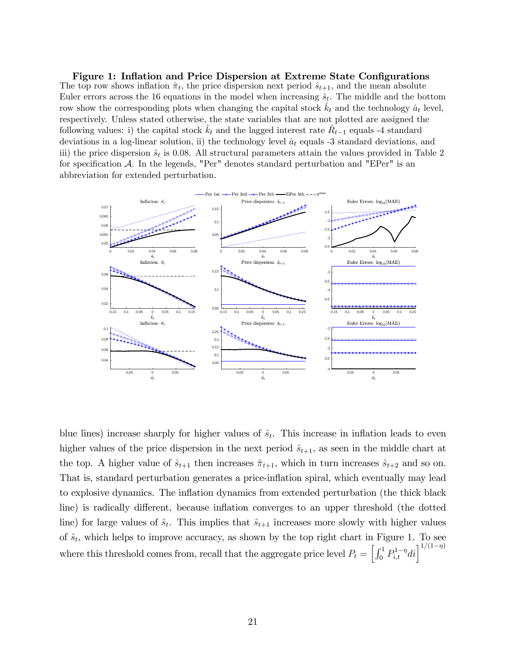Figure 1: Inflation and Price Dispersion at Extreme State Configurations The top row shows inflation  $\hat{\pi}_t$ , the price dispersion next period  $\hat{s}_{t+1}$ , and the mean absolute Euler errors across the 16 equations in the model when increasing  $\hat{s}_t$ . The middle and the bottom row show the corresponding plots when changing the capital stock  $\hat{k}_t$  and the technology  $\hat{a}_t$  level, respectively. Unless stated otherwise, the state variables that are not plotted are assigned the following values: i) the capital stock  $\hat{k}_t$  and the lagged interest rate  $\hat{R}_{t-1}$  equals -4 standard deviations in a log-linear solution, ii) the technology level  $\hat{a}_t$  equals -3 standard deviations, and iii) the price dispersion  $\hat{s}_t$  is 0.08. All structural parameters attain the values provided in Table 2 for specification  $A$ . In the legends, "Per" denotes standard perturbation and "EPer" is an abbreviation for extended perturbation.



blue lines) increase sharply for higher values of  $\hat{s}_t$ . This increase in inflation leads to even higher values of the price dispersion in the next period  $\hat{s}_{t+1}$ , as seen in the middle chart at the top. A higher value of  $\hat{s}_{t+1}$  then increases  $\hat{\pi}_{t+1}$ , which in turn increases  $\hat{s}_{t+2}$  and so on. That is, standard perturbation generates a price-inflation spiral, which eventually may lead to explosive dynamics. The ináation dynamics from extended perturbation (the thick black line) is radically different, because inflation converges to an upper threshold (the dotted line) for large values of  $\hat{s}_t$ . This implies that  $\hat{s}_{t+1}$  increases more slowly with higher values of  $\hat{s}_t$ , which helps to improve accuracy, as shown by the top right chart in Figure 1. To see where this threshold comes from, recall that the aggregate price level  $P_t = \left[\int_0^1 P_{i,t}^{1-\eta}di\right]^{1/(1-\eta)}$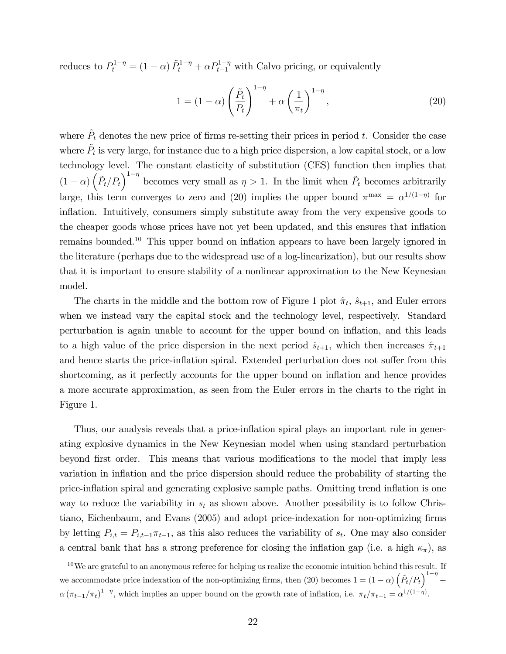reduces to  $P_t^{1-\eta} = (1-\alpha) \tilde{P}_t^{1-\eta} + \alpha P_{t-1}^{1-\eta}$  with Calvo pricing, or equivalently

$$
1 = (1 - \alpha) \left(\frac{\tilde{P}_t}{P_t}\right)^{1 - \eta} + \alpha \left(\frac{1}{\pi_t}\right)^{1 - \eta},\tag{20}
$$

where  $\tilde{P}_t$  denotes the new price of firms re-setting their prices in period t. Consider the case where  $\tilde{P}_t$  is very large, for instance due to a high price dispersion, a low capital stock, or a low technology level. The constant elasticity of substitution (CES) function then implies that  $(1 - \alpha) \left( \tilde{P}_t / P_t \right)^{1 - \eta}$  becomes very small as  $\eta > 1$ . In the limit when  $\tilde{P}_t$  becomes arbitrarily large, this term converges to zero and (20) implies the upper bound  $\pi^{\max} = \alpha^{1/(1-\eta)}$  for inflation. Intuitively, consumers simply substitute away from the very expensive goods to the cheaper goods whose prices have not yet been updated, and this ensures that inflation remains bounded.<sup>10</sup> This upper bound on inflation appears to have been largely ignored in the literature (perhaps due to the widespread use of a log-linearization), but our results show that it is important to ensure stability of a nonlinear approximation to the New Keynesian model.

The charts in the middle and the bottom row of Figure 1 plot  $\hat{\pi}_t$ ,  $\hat{s}_{t+1}$ , and Euler errors when we instead vary the capital stock and the technology level, respectively. Standard perturbation is again unable to account for the upper bound on inflation, and this leads to a high value of the price dispersion in the next period  $\hat{s}_{t+1}$ , which then increases  $\hat{\pi}_{t+1}$ and hence starts the price-inflation spiral. Extended perturbation does not suffer from this shortcoming, as it perfectly accounts for the upper bound on inflation and hence provides a more accurate approximation, as seen from the Euler errors in the charts to the right in Figure 1.

Thus, our analysis reveals that a price-inflation spiral plays an important role in generating explosive dynamics in the New Keynesian model when using standard perturbation beyond first order. This means that various modifications to the model that imply less variation in inflation and the price dispersion should reduce the probability of starting the price-ináation spiral and generating explosive sample paths. Omitting trend ináation is one way to reduce the variability in  $s_t$  as shown above. Another possibility is to follow Christiano, Eichenbaum, and Evans (2005) and adopt price-indexation for non-optimizing firms by letting  $P_{i,t} = P_{i,t-1}\pi_{t-1}$ , as this also reduces the variability of  $s_t$ . One may also consider a central bank that has a strong preference for closing the inflation gap (i.e. a high  $\kappa_{\pi}$ ), as

 $10$ We are grateful to an anonymous referee for helping us realize the economic intuition behind this result. If we accommodate price indexation of the non-optimizing firms, then (20) becomes  $1 = (1 - \alpha) \left( \tilde{P}_t / P_t \right)^{1 - \eta} +$  $\alpha (\pi_{t-1}/\pi_t)^{1-\eta}$ , which implies an upper bound on the growth rate of inflation, i.e.  $\pi_t/\pi_{t-1} = \alpha^{1/(1-\eta)}$ .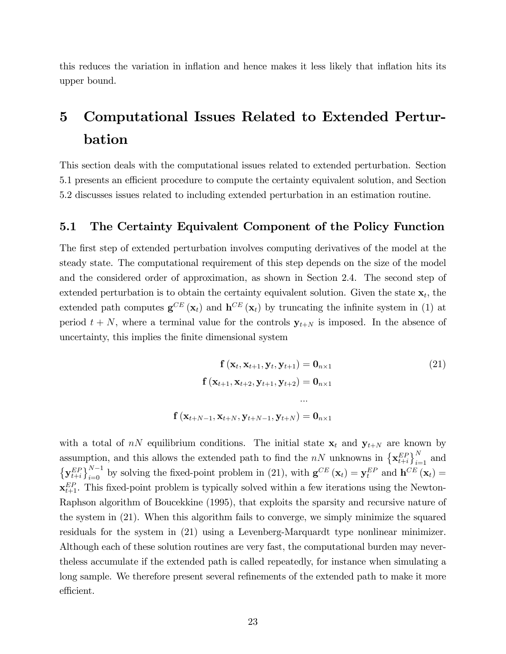this reduces the variation in inflation and hence makes it less likely that inflation hits its upper bound.

# 5 Computational Issues Related to Extended Perturbation

This section deals with the computational issues related to extended perturbation. Section 5.1 presents an efficient procedure to compute the certainty equivalent solution, and Section 5.2 discusses issues related to including extended perturbation in an estimation routine.

### 5.1 The Certainty Equivalent Component of the Policy Function

The first step of extended perturbation involves computing derivatives of the model at the steady state. The computational requirement of this step depends on the size of the model and the considered order of approximation, as shown in Section 2.4. The second step of extended perturbation is to obtain the certainty equivalent solution. Given the state  $\mathbf{x}_t$ , the extended path computes  $\mathbf{g}^{CE}(\mathbf{x}_t)$  and  $\mathbf{h}^{CE}(\mathbf{x}_t)$  by truncating the infinite system in (1) at period  $t + N$ , where a terminal value for the controls  $y_{t+N}$  is imposed. In the absence of uncertainty, this implies the finite dimensional system

$$
\mathbf{f}(\mathbf{x}_t, \mathbf{x}_{t+1}, \mathbf{y}_t, \mathbf{y}_{t+1}) = \mathbf{0}_{n \times 1}
$$
\n
$$
\mathbf{f}(\mathbf{x}_{t+1}, \mathbf{x}_{t+2}, \mathbf{y}_{t+1}, \mathbf{y}_{t+2}) = \mathbf{0}_{n \times 1}
$$
\n
$$
\dots
$$
\n
$$
\mathbf{f}(\mathbf{x}_{t+N-1}, \mathbf{x}_{t+N}, \mathbf{y}_{t+N-1}, \mathbf{y}_{t+N}) = \mathbf{0}_{n \times 1}
$$
\n(21)

with a total of  $nN$  equilibrium conditions. The initial state  $x_t$  and  $y_{t+N}$  are known by assumption, and this allows the extended path to find the  $nN$  unknowns in  $\left\{ \mathbf{x}_{t+i}^{EP}\right\}_{i=1}^{N}$  and  $\left\{ \mathbf{y}_{t+i}^{EP}\right\}_{i=0}^{N-1}$  by solving the fixed-point problem in (21), with  $\mathbf{g}^{CE}\left(\mathbf{x}_t\right) = \mathbf{y}_t^{EP}$  and  $\mathbf{h}^{CE}\left(\mathbf{x}_t\right) =$  $\mathbf{x}_{t+1}^{EP}$ . This fixed-point problem is typically solved within a few iterations using the Newton-Raphson algorithm of Boucekkine (1995), that exploits the sparsity and recursive nature of the system in (21). When this algorithm fails to converge, we simply minimize the squared residuals for the system in (21) using a Levenberg-Marquardt type nonlinear minimizer. Although each of these solution routines are very fast, the computational burden may nevertheless accumulate if the extended path is called repeatedly, for instance when simulating a long sample. We therefore present several refinements of the extended path to make it more efficient.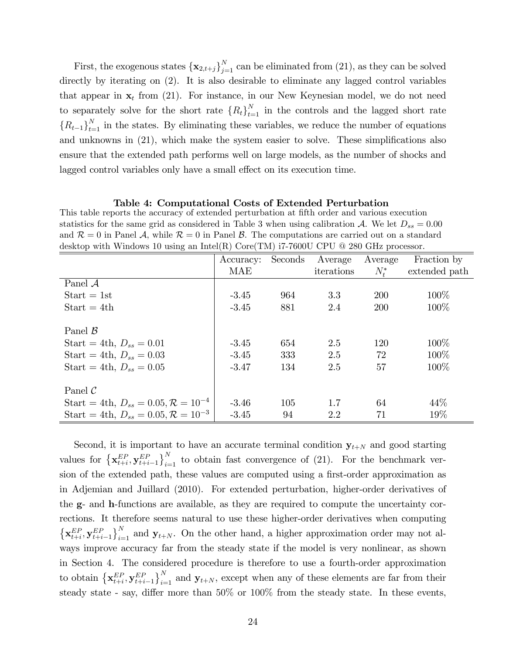First, the exogenous states  $\{\mathbf{x}_{2,t+j}\}_{j=1}^N$  can be eliminated from (21), as they can be solved directly by iterating on (2). It is also desirable to eliminate any lagged control variables that appear in  $x_t$  from (21). For instance, in our New Keynesian model, we do not need to separately solve for the short rate  ${R_t}_{t=1}^N$  in the controls and the lagged short rate  ${R_{t-1}}_{t=1}^N$  in the states. By eliminating these variables, we reduce the number of equations and unknowns in  $(21)$ , which make the system easier to solve. These simplifications also ensure that the extended path performs well on large models, as the number of shocks and lagged control variables only have a small effect on its execution time.

#### Table 4: Computational Costs of Extended Perturbation

This table reports the accuracy of extended perturbation at fifth order and various execution statistics for the same grid as considered in Table 3 when using calibration A. We let  $D_{ss} = 0.00$ and  $\mathcal{R} = 0$  in Panel  $\mathcal{A}$ , while  $\mathcal{R} = 0$  in Panel  $\mathcal{B}$ . The computations are carried out on a standard desktop with Windows 10 using an Intel(R) Core(TM)  $i7-7600U$  CPU @ 280 GHz processor.

|                                                     | Accuracy: | Seconds | Average    | Average   | Fraction by   |
|-----------------------------------------------------|-----------|---------|------------|-----------|---------------|
|                                                     | MAE       |         | iterations | $N_{t}^*$ | extended path |
| Panel $A$                                           |           |         |            |           |               |
| $Start = 1st$                                       | $-3.45$   | 964     | 3.3        | 200       | 100\%         |
| $Start = 4th$                                       | $-3.45$   | 881     | 2.4        | 200       | 100\%         |
| Panel $\mathcal{B}$                                 |           |         |            |           |               |
| Start = 4th, $D_{ss} = 0.01$                        | $-3.45$   | 654     | 2.5        | 120       | 100\%         |
| Start = 4th, $D_{ss} = 0.03$                        | $-3.45$   | 333     | 2.5        | 72        | 100\%         |
| Start = 4th, $D_{ss} = 0.05$                        | $-3.47$   | 134     | 2.5        | 57        | 100%          |
| Panel $\mathcal C$                                  |           |         |            |           |               |
| Start = 4th, $D_{ss} = 0.05, \mathcal{R} = 10^{-4}$ | $-3.46$   | 105     | 1.7        | 64        | 44\%          |
| Start = 4th, $D_{ss} = 0.05, \mathcal{R} = 10^{-3}$ | $-3.45$   | 94      | 2.2        | 71        | 19%           |

Second, it is important to have an accurate terminal condition  $y_{t+N}$  and good starting values for  $\left\{ \mathbf{x}_{t+i}^{EP}, \mathbf{y}_{t+i-1}^{EP} \right\}_{i=1}^N$  to obtain fast convergence of (21). For the benchmark version of the extended path, these values are computed using a first-order approximation as in Adjemian and Juillard (2010). For extended perturbation, higher-order derivatives of the g- and h-functions are available, as they are required to compute the uncertainty corrections. It therefore seems natural to use these higher-order derivatives when computing  $\left\{ \mathbf{x}_{t+i}^{EP}, \mathbf{y}_{t+i-1}^{EP} \right\}_{i=1}^N$  and  $\mathbf{y}_{t+N}$ . On the other hand, a higher approximation order may not always improve accuracy far from the steady state if the model is very nonlinear, as shown in Section 4. The considered procedure is therefore to use a fourth-order approximation to obtain  $\left\{ \mathbf{x}_{t+i}^{EP}, \mathbf{y}_{t+i-1}^{EP} \right\}_{i=1}^N$  and  $\mathbf{y}_{t+N}$ , except when any of these elements are far from their steady state - say, differ more than  $50\%$  or  $100\%$  from the steady state. In these events,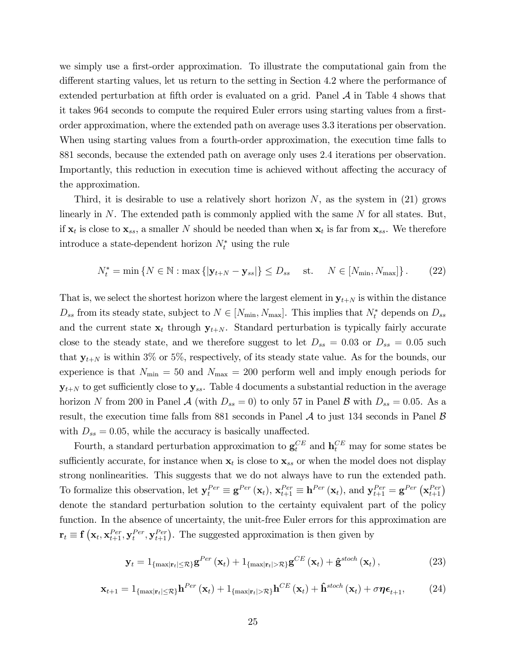we simply use a first-order approximation. To illustrate the computational gain from the different starting values, let us return to the setting in Section 4.2 where the performance of extended perturbation at fifth order is evaluated on a grid. Panel  $A$  in Table 4 shows that it takes 964 seconds to compute the required Euler errors using starting values from a firstorder approximation, where the extended path on average uses 3.3 iterations per observation. When using starting values from a fourth-order approximation, the execution time falls to 881 seconds, because the extended path on average only uses 2:4 iterations per observation. Importantly, this reduction in execution time is achieved without affecting the accuracy of the approximation.

Third, it is desirable to use a relatively short horizon  $N$ , as the system in (21) grows linearly in  $N$ . The extended path is commonly applied with the same  $N$  for all states. But, if  $\mathbf{x}_t$  is close to  $\mathbf{x}_{ss}$ , a smaller N should be needed than when  $\mathbf{x}_t$  is far from  $\mathbf{x}_{ss}$ . We therefore introduce a state-dependent horizon  $N_t^*$  using the rule

$$
N_t^* = \min \left\{ N \in \mathbb{N} : \max \left\{ |\mathbf{y}_{t+N} - \mathbf{y}_{ss}| \right\} \le D_{ss} \quad \text{st.} \quad N \in [N_{\min}, N_{\max}] \right\}. \tag{22}
$$

That is, we select the shortest horizon where the largest element in  $y_{t+N}$  is within the distance  $D_{ss}$  from its steady state, subject to  $N \in [N_{\min}, N_{\max}]$ . This implies that  $N_t^*$  depends on  $D_{ss}$ and the current state  $x_t$  through  $y_{t+N}$ . Standard perturbation is typically fairly accurate close to the steady state, and we therefore suggest to let  $D_{ss} = 0.03$  or  $D_{ss} = 0.05$  such that  $y_{t+N}$  is within 3% or 5%, respectively, of its steady state value. As for the bounds, our experience is that  $N_{\text{min}} = 50$  and  $N_{\text{max}} = 200$  perform well and imply enough periods for  $y_{t+N}$  to get sufficiently close to  $y_{ss}$ . Table 4 documents a substantial reduction in the average horizon N from 200 in Panel  $\mathcal A$  (with  $D_{ss} = 0$ ) to only 57 in Panel  $\mathcal B$  with  $D_{ss} = 0.05$ . As a result, the execution time falls from 881 seconds in Panel  $\mathcal A$  to just 134 seconds in Panel  $\mathcal B$ with  $D_{ss} = 0.05$ , while the accuracy is basically unaffected.

Fourth, a standard perturbation approximation to  $\mathbf{g}_t^{CE}$  and  $\mathbf{h}_t^{CE}$  may for some states be sufficiently accurate, for instance when  $\mathbf{x}_t$  is close to  $\mathbf{x}_{ss}$  or when the model does not display strong nonlinearities. This suggests that we do not always have to run the extended path. To formalize this observation, let  $\mathbf{y}_t^{Per} \equiv \mathbf{g}^{Per}(\mathbf{x}_t)$ ,  $\mathbf{x}_{t+1}^{Per} \equiv \mathbf{h}^{Per}(\mathbf{x}_t)$ , and  $\mathbf{y}_{t+1}^{Per} = \mathbf{g}^{Per}(\mathbf{x}_{t+1}^{Per})$ denote the standard perturbation solution to the certainty equivalent part of the policy function. In the absence of uncertainty, the unit-free Euler errors for this approximation are  $\mathbf{r}_t \equiv \mathbf{f}\left(\mathbf{x}_t, \mathbf{x}_{t+1}^{Per}, \mathbf{y}_{t+1}^{Per}\right)$ . The suggested approximation is then given by

$$
\mathbf{y}_{t} = 1_{\{\max|\mathbf{r}_{t}| \leq \mathcal{R}\}} \mathbf{g}^{Per}\left(\mathbf{x}_{t}\right) + 1_{\{\max|\mathbf{r}_{t}| > \mathcal{R}\}} \mathbf{g}^{CE}\left(\mathbf{x}_{t}\right) + \hat{\mathbf{g}}^{stoch}\left(\mathbf{x}_{t}\right), \tag{23}
$$

$$
\mathbf{x}_{t+1} = 1_{\{\max|\mathbf{r}_t| \leq \mathcal{R}\}} \mathbf{h}^{Per}(\mathbf{x}_t) + 1_{\{\max|\mathbf{r}_t| > \mathcal{R}\}} \mathbf{h}^{CE}(\mathbf{x}_t) + \mathbf{\hat{h}}^{stoch}(\mathbf{x}_t) + \sigma \boldsymbol{\eta} \boldsymbol{\epsilon}_{t+1},
$$
(24)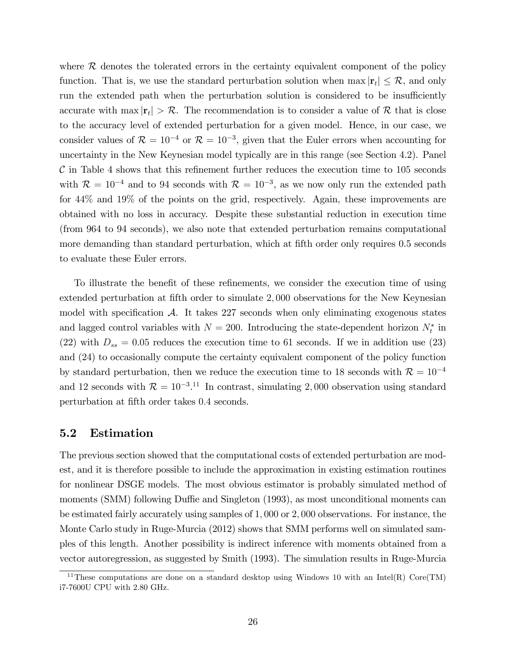where  $\mathcal R$  denotes the tolerated errors in the certainty equivalent component of the policy function. That is, we use the standard perturbation solution when  $\max |r_t| \leq \mathcal{R}$ , and only run the extended path when the perturbation solution is considered to be insufficiently accurate with  $\max |r_t| > \mathcal{R}$ . The recommendation is to consider a value of  $\mathcal{R}$  that is close to the accuracy level of extended perturbation for a given model. Hence, in our case, we consider values of  $\mathcal{R} = 10^{-4}$  or  $\mathcal{R} = 10^{-3}$ , given that the Euler errors when accounting for uncertainty in the New Keynesian model typically are in this range (see Section 4.2). Panel  $\mathcal C$  in Table 4 shows that this refinement further reduces the execution time to 105 seconds with  $\mathcal{R} = 10^{-4}$  and to 94 seconds with  $\mathcal{R} = 10^{-3}$ , as we now only run the extended path for 44% and 19% of the points on the grid, respectively. Again, these improvements are obtained with no loss in accuracy. Despite these substantial reduction in execution time (from 964 to 94 seconds), we also note that extended perturbation remains computational more demanding than standard perturbation, which at fifth order only requires 0.5 seconds to evaluate these Euler errors.

To illustrate the benefit of these refinements, we consider the execution time of using extended perturbation at fifth order to simulate 2,000 observations for the New Keynesian model with specification  $A$ . It takes 227 seconds when only eliminating exogenous states and lagged control variables with  $N = 200$ . Introducing the state-dependent horizon  $N_t^*$  in (22) with  $D_{ss} = 0.05$  reduces the execution time to 61 seconds. If we in addition use (23) and (24) to occasionally compute the certainty equivalent component of the policy function by standard perturbation, then we reduce the execution time to 18 seconds with  $\mathcal{R} = 10^{-4}$ and 12 seconds with  $\mathcal{R} = 10^{-3}$ .<sup>11</sup> In contrast, simulating 2,000 observation using standard perturbation at fifth order takes 0.4 seconds.

### 5.2 Estimation

The previous section showed that the computational costs of extended perturbation are modest, and it is therefore possible to include the approximation in existing estimation routines for nonlinear DSGE models. The most obvious estimator is probably simulated method of moments (SMM) following Duffie and Singleton (1993), as most unconditional moments can be estimated fairly accurately using samples of 1; 000 or 2; 000 observations. For instance, the Monte Carlo study in Ruge-Murcia (2012) shows that SMM performs well on simulated samples of this length. Another possibility is indirect inference with moments obtained from a vector autoregression, as suggested by Smith (1993). The simulation results in Ruge-Murcia

<sup>&</sup>lt;sup>11</sup>These computations are done on a standard desktop using Windows 10 with an Intel(R) Core(TM) i7-7600U CPU with 2.80 GHz.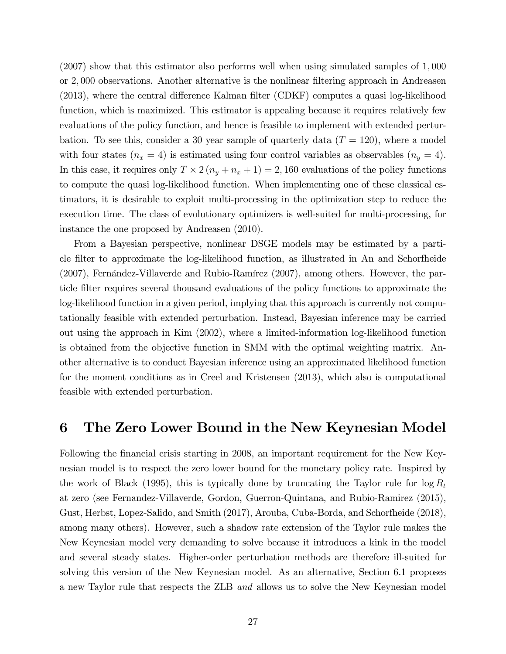$(2007)$  show that this estimator also performs well when using simulated samples of 1,000 or 2; 000 observations. Another alternative is the nonlinear Öltering approach in Andreasen  $(2013)$ , where the central difference Kalman filter  $(C\text{DKF})$  computes a quasi log-likelihood function, which is maximized. This estimator is appealing because it requires relatively few evaluations of the policy function, and hence is feasible to implement with extended perturbation. To see this, consider a 30 year sample of quarterly data  $(T = 120)$ , where a model with four states  $(n_x = 4)$  is estimated using four control variables as observables  $(n_y = 4)$ . In this case, it requires only  $T \times 2(n_y + n_x + 1) = 2,160$  evaluations of the policy functions to compute the quasi log-likelihood function. When implementing one of these classical estimators, it is desirable to exploit multi-processing in the optimization step to reduce the execution time. The class of evolutionary optimizers is well-suited for multi-processing, for instance the one proposed by Andreasen (2010).

From a Bayesian perspective, nonlinear DSGE models may be estimated by a particle Ölter to approximate the log-likelihood function, as illustrated in An and Schorfheide  $(2007)$ , Fernández-Villaverde and Rubio-Ramírez  $(2007)$ , among others. However, the particle Ölter requires several thousand evaluations of the policy functions to approximate the log-likelihood function in a given period, implying that this approach is currently not computationally feasible with extended perturbation. Instead, Bayesian inference may be carried out using the approach in Kim (2002), where a limited-information log-likelihood function is obtained from the objective function in SMM with the optimal weighting matrix. Another alternative is to conduct Bayesian inference using an approximated likelihood function for the moment conditions as in Creel and Kristensen (2013), which also is computational feasible with extended perturbation.

# 6 The Zero Lower Bound in the New Keynesian Model

Following the financial crisis starting in 2008, an important requirement for the New Keynesian model is to respect the zero lower bound for the monetary policy rate. Inspired by the work of Black (1995), this is typically done by truncating the Taylor rule for  $\log R_t$ at zero (see Fernandez-Villaverde, Gordon, Guerron-Quintana, and Rubio-Ramirez (2015), Gust, Herbst, Lopez-Salido, and Smith (2017), Arouba, Cuba-Borda, and Schorfheide (2018), among many others). However, such a shadow rate extension of the Taylor rule makes the New Keynesian model very demanding to solve because it introduces a kink in the model and several steady states. Higher-order perturbation methods are therefore ill-suited for solving this version of the New Keynesian model. As an alternative, Section 6.1 proposes a new Taylor rule that respects the ZLB and allows us to solve the New Keynesian model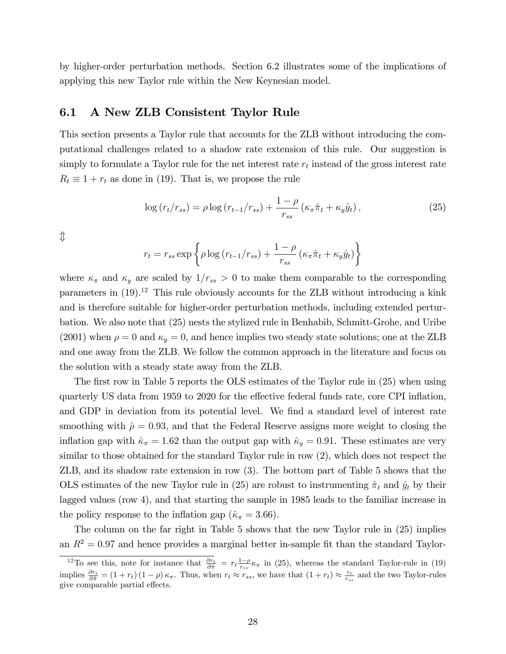by higher-order perturbation methods. Section 6.2 illustrates some of the implications of applying this new Taylor rule within the New Keynesian model.

# 6.1 A New ZLB Consistent Taylor Rule

This section presents a Taylor rule that accounts for the ZLB without introducing the computational challenges related to a shadow rate extension of this rule. Our suggestion is simply to formulate a Taylor rule for the net interest rate  $r_t$  instead of the gross interest rate  $R_t \equiv 1 + r_t$  as done in (19). That is, we propose the rule

$$
\log\left(r_t/r_{ss}\right) = \rho \log\left(r_{t-1}/r_{ss}\right) + \frac{1-\rho}{r_{ss}}\left(\kappa_\pi \hat{\pi}_t + \kappa_y \hat{y}_t\right),\tag{25}
$$

 $\hat{\mathbb{I}}$ 

$$
r_t = r_{ss} \exp\left\{\rho \log\left(r_{t-1}/r_{ss}\right) + \frac{1-\rho}{r_{ss}}\left(\kappa_{\pi}\hat{\pi}_t + \kappa_y \hat{y}_t\right)\right\}
$$

where  $\kappa_{\pi}$  and  $\kappa_{y}$  are scaled by  $1/r_{ss} > 0$  to make them comparable to the corresponding parameters in  $(19)^{12}$ . This rule obviously accounts for the ZLB without introducing a kink and is therefore suitable for higher-order perturbation methods, including extended perturbation. We also note that (25) nests the stylized rule in Benhabib, Schmitt-Grohe, and Uribe (2001) when  $\rho = 0$  and  $\kappa_y = 0$ , and hence implies two steady state solutions; one at the ZLB and one away from the ZLB. We follow the common approach in the literature and focus on the solution with a steady state away from the ZLB.

The first row in Table 5 reports the OLS estimates of the Taylor rule in (25) when using quarterly US data from 1959 to 2020 for the effective federal funds rate, core CPI inflation, and GDP in deviation from its potential level. We find a standard level of interest rate smoothing with  $\hat{\rho} = 0.93$ , and that the Federal Reserve assigns more weight to closing the inflation gap with  $\hat{\kappa}_{\pi} = 1.62$  than the output gap with  $\hat{\kappa}_{y} = 0.91$ . These estimates are very similar to those obtained for the standard Taylor rule in row (2), which does not respect the ZLB, and its shadow rate extension in row (3). The bottom part of Table 5 shows that the OLS estimates of the new Taylor rule in (25) are robust to instrumenting  $\hat{\pi}_t$  and  $\hat{y}_t$  by their lagged values (row 4), and that starting the sample in 1985 leads to the familiar increase in the policy response to the inflation gap ( $\hat{\kappa}_{\pi} = 3.66$ ).

The column on the far right in Table 5 shows that the new Taylor rule in (25) implies an  $R^2 = 0.97$  and hence provides a marginal better in-sample fit than the standard Taylor-

<sup>&</sup>lt;sup>12</sup>To see this, note for instance that  $\frac{\partial r_t}{\partial \hat{\pi}} = r_t \frac{1-\rho}{r_{ss}} \kappa_{\pi}$  in (25), whereas the standard Taylor-rule in (19) implies  $\frac{\partial r_t}{\partial \hat{\pi}} = (1 + r_t) (1 - \rho) \kappa_{\pi}$ . Thus, when  $r_t \approx r_{ss}$ , we have that  $(1 + r_t) \approx \frac{r_t}{r_{ss}}$  and the two Taylor-rules give comparable partial effects.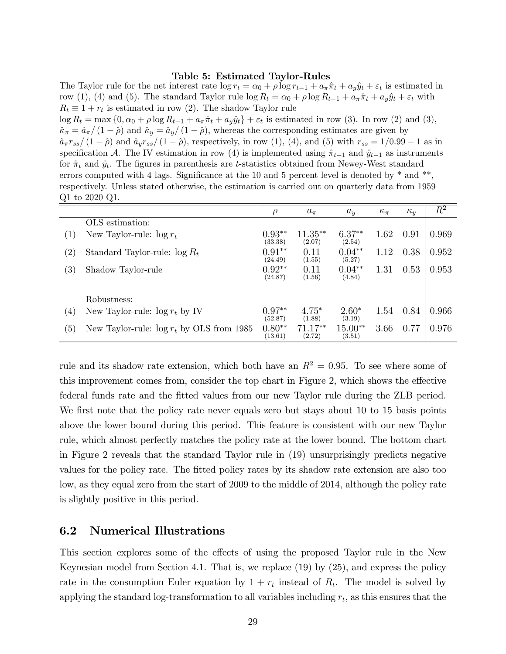#### Table 5: Estimated Taylor-Rules

The Taylor rule for the net interest rate  $\log r_t = \alpha_0 + \rho \log r_{t-1} + a_\pi \hat{\pi}_t + a_y \hat{y}_t + \varepsilon_t$  is estimated in row (1), (4) and (5). The standard Taylor rule  $\log R_t = \alpha_0 + \rho \log R_{t-1} + a_\pi \hat{\pi}_t + a_y \hat{y}_t + \varepsilon_t$  with  $R_t \equiv 1 + r_t$  is estimated in row (2). The shadow Taylor rule

 $\log R_t = \max\left\{0, \alpha_0 + \rho \log R_{t-1} + a_\pi \hat{\pi}_t + a_y \hat{y}_t\right\} + \varepsilon_t$  is estimated in row (3). In row (2) and (3),  $\hat{\kappa}_{\pi} = \hat{a}_{\pi}/(1 - \hat{\rho})$  and  $\hat{\kappa}_{y} = \hat{a}_{y}/(1 - \hat{\rho})$ , whereas the corresponding estimates are given by  $\hat{a}_{\pi}r_{ss}/(1 - \hat{\rho})$  and  $\hat{a}_{y}r_{ss}/(1 - \hat{\rho})$ , respectively, in row (1), (4), and (5) with  $r_{ss} = 1/0.99 - 1$  as in specification A. The IV estimation in row (4) is implemented using  $\hat{\pi}_{t-1}$  and  $\hat{y}_{t-1}$  as instruments for  $\hat{\pi}_t$  and  $\hat{y}_t$ . The figures in parenthesis are t-statistics obtained from Newey-West standard errors computed with 4 lags. Significance at the 10 and 5 percent level is denoted by  $*$  and  $**$ , respectively. Unless stated otherwise, the estimation is carried out on quarterly data from 1959 Q1 to 2020 Q1.

|                   |                                              | $\rho$              | $a_{\pi}$           | $a_u$               | $\kappa_{\pi}$ | $\kappa_u$ | $\overline{R^2}$ |
|-------------------|----------------------------------------------|---------------------|---------------------|---------------------|----------------|------------|------------------|
|                   | OLS estimation:                              |                     |                     |                     |                |            |                  |
| $\left(1\right)$  | New Taylor-rule: $\log r_t$                  | $0.93**$<br>(33.38) | $11.35**$<br>(2.07) | $6.37**$<br>(2.54)  | 1.62           | 0.91       | 0.969            |
| $\left( 2\right)$ | Standard Taylor-rule: $\log R_t$             | $0.91**$<br>(24.49) | 0.11<br>(1.55)      | $0.04**$<br>(5.27)  | 1.12           | 0.38       | 0.952            |
| $\left( 3\right)$ | Shadow Taylor-rule                           | $0.92**$<br>(24.87) | 0.11<br>(1.56)      | $0.04**$<br>(4.84)  | 1.31           | 0.53       | 0.953            |
|                   | Robustness:                                  |                     |                     |                     |                |            |                  |
| $\left( 4\right)$ | New Taylor-rule: $\log r_t$ by IV            | $0.97**$<br>(52.87) | $4.75*$<br>(1.88)   | $2.60*$<br>(3.19)   | 1.54           | 0.84       | 0.966            |
| (5)               | New Taylor-rule: $\log r_t$ by OLS from 1985 | $0.80**$<br>(13.61) | $71.17**$<br>(2.72) | $15.00**$<br>(3.51) | 3.66           | 0.77       | 0.976            |

rule and its shadow rate extension, which both have an  $R^2 = 0.95$ . To see where some of this improvement comes from, consider the top chart in Figure 2, which shows the effective federal funds rate and the Ötted values from our new Taylor rule during the ZLB period. We first note that the policy rate never equals zero but stays about 10 to 15 basis points above the lower bound during this period. This feature is consistent with our new Taylor rule, which almost perfectly matches the policy rate at the lower bound. The bottom chart in Figure 2 reveals that the standard Taylor rule in (19) unsurprisingly predicts negative values for the policy rate. The Ötted policy rates by its shadow rate extension are also too low, as they equal zero from the start of 2009 to the middle of 2014, although the policy rate is slightly positive in this period.

### 6.2 Numerical Illustrations

This section explores some of the effects of using the proposed Taylor rule in the New Keynesian model from Section 4.1. That is, we replace (19) by (25), and express the policy rate in the consumption Euler equation by  $1 + r_t$  instead of  $R_t$ . The model is solved by applying the standard log-transformation to all variables including  $r_t$ , as this ensures that the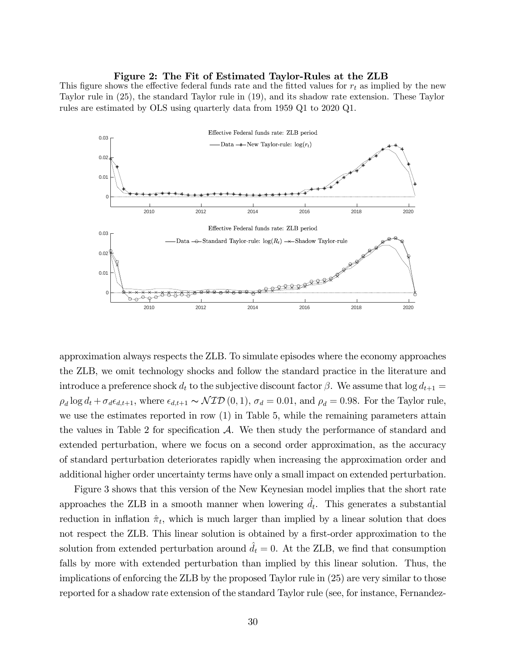#### Figure 2: The Fit of Estimated Taylor-Rules at the ZLB

This figure shows the effective federal funds rate and the fitted values for  $r_t$  as implied by the new Taylor rule in (25), the standard Taylor rule in (19), and its shadow rate extension. These Taylor rules are estimated by OLS using quarterly data from 1959 Q1 to 2020 Q1.



approximation always respects the ZLB. To simulate episodes where the economy approaches the ZLB, we omit technology shocks and follow the standard practice in the literature and introduce a preference shock  $d_t$  to the subjective discount factor  $\beta$ . We assume that  $\log d_{t+1} =$  $\rho_d \log d_t + \sigma_d \epsilon_{d,t+1}$ , where  $\epsilon_{d,t+1} \sim \mathcal{NID}(0, 1)$ ,  $\sigma_d = 0.01$ , and  $\rho_d = 0.98$ . For the Taylor rule, we use the estimates reported in row (1) in Table 5, while the remaining parameters attain the values in Table 2 for specification  $\mathcal{A}$ . We then study the performance of standard and extended perturbation, where we focus on a second order approximation, as the accuracy of standard perturbation deteriorates rapidly when increasing the approximation order and additional higher order uncertainty terms have only a small impact on extended perturbation.

Figure 3 shows that this version of the New Keynesian model implies that the short rate approaches the ZLB in a smooth manner when lowering  $\hat{d}_t$ . This generates a substantial reduction in inflation  $\hat{\pi}_t$ , which is much larger than implied by a linear solution that does not respect the ZLB. This linear solution is obtained by a first-order approximation to the solution from extended perturbation around  $d_t = 0$ . At the ZLB, we find that consumption falls by more with extended perturbation than implied by this linear solution. Thus, the implications of enforcing the ZLB by the proposed Taylor rule in (25) are very similar to those reported for a shadow rate extension of the standard Taylor rule (see, for instance, Fernandez-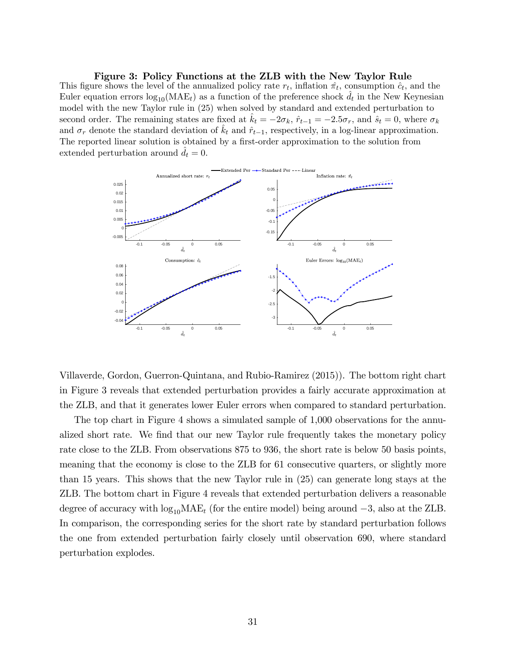Figure 3: Policy Functions at the ZLB with the New Taylor Rule This figure shows the level of the annualized policy rate  $r_t$ , inflation  $\hat{\pi}_t$ , consumption  $\hat{c}_t$ , and the Euler equation errors  $log_{10}(MAE_t)$  as a function of the preference shock  $\hat{d}_t$  in the New Keynesian model with the new Taylor rule in (25) when solved by standard and extended perturbation to second order. The remaining states are fixed at  $k_t = -2\sigma_k$ ,  $\hat{r}_{t-1} = -2.5\sigma_r$ , and  $\hat{s}_t = 0$ , where  $\sigma_k$ and  $\sigma_r$  denote the standard deviation of  $k_t$  and  $\hat{r}_{t-1}$ , respectively, in a log-linear approximation. The reported linear solution is obtained by a first-order approximation to the solution from extended perturbation around  $d_t = 0$ .



Villaverde, Gordon, Guerron-Quintana, and Rubio-Ramirez (2015)). The bottom right chart in Figure 3 reveals that extended perturbation provides a fairly accurate approximation at the ZLB, and that it generates lower Euler errors when compared to standard perturbation.

The top chart in Figure 4 shows a simulated sample of 1,000 observations for the annualized short rate. We find that our new Taylor rule frequently takes the monetary policy rate close to the ZLB. From observations 875 to 936, the short rate is below 50 basis points, meaning that the economy is close to the ZLB for 61 consecutive quarters, or slightly more than 15 years. This shows that the new Taylor rule in (25) can generate long stays at the ZLB. The bottom chart in Figure 4 reveals that extended perturbation delivers a reasonable degree of accuracy with  $\log_{10} MAE_t$  (for the entire model) being around  $-3$ , also at the ZLB. In comparison, the corresponding series for the short rate by standard perturbation follows the one from extended perturbation fairly closely until observation 690, where standard perturbation explodes.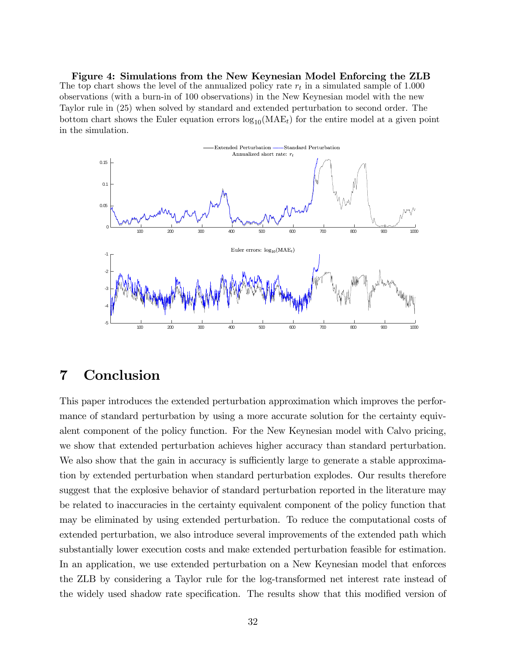Figure 4: Simulations from the New Keynesian Model Enforcing the ZLB The top chart shows the level of the annualized policy rate  $r_t$  in a simulated sample of 1.000 observations (with a burn-in of 100 observations) in the New Keynesian model with the new Taylor rule in (25) when solved by standard and extended perturbation to second order. The bottom chart shows the Euler equation errors  $log_{10}(MAE_t)$  for the entire model at a given point in the simulation.



# 7 Conclusion

This paper introduces the extended perturbation approximation which improves the performance of standard perturbation by using a more accurate solution for the certainty equivalent component of the policy function. For the New Keynesian model with Calvo pricing, we show that extended perturbation achieves higher accuracy than standard perturbation. We also show that the gain in accuracy is sufficiently large to generate a stable approximation by extended perturbation when standard perturbation explodes. Our results therefore suggest that the explosive behavior of standard perturbation reported in the literature may be related to inaccuracies in the certainty equivalent component of the policy function that may be eliminated by using extended perturbation. To reduce the computational costs of extended perturbation, we also introduce several improvements of the extended path which substantially lower execution costs and make extended perturbation feasible for estimation. In an application, we use extended perturbation on a New Keynesian model that enforces the ZLB by considering a Taylor rule for the log-transformed net interest rate instead of the widely used shadow rate specification. The results show that this modified version of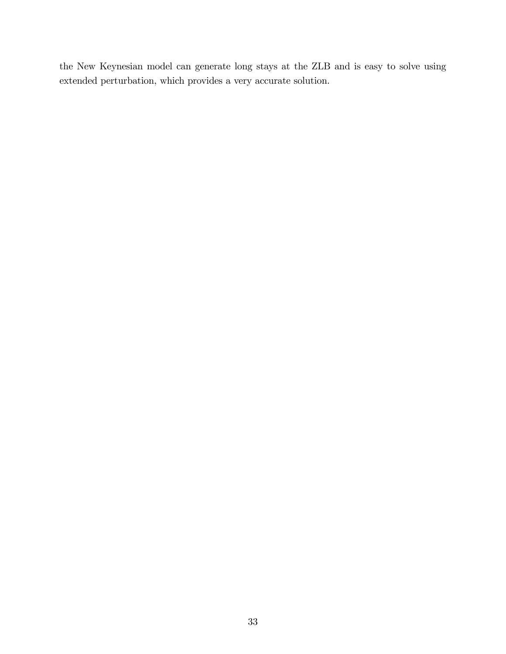the New Keynesian model can generate long stays at the ZLB and is easy to solve using extended perturbation, which provides a very accurate solution.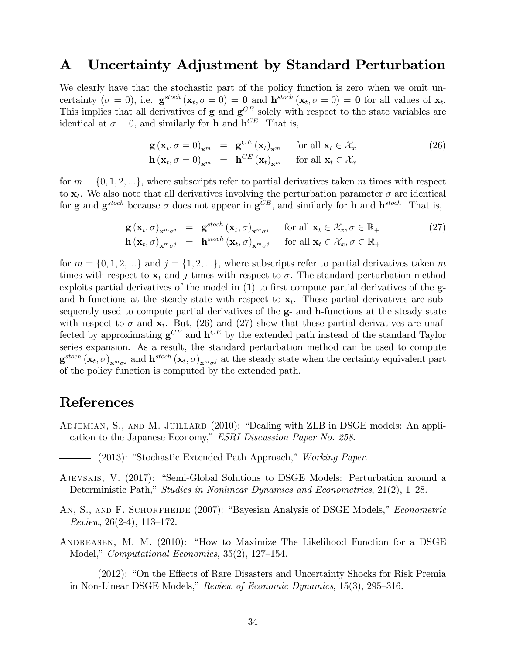# A Uncertainty Adjustment by Standard Perturbation

We clearly have that the stochastic part of the policy function is zero when we omit uncertainty  $(\sigma = 0)$ , i.e.  $\mathbf{g}^{stoch}(\mathbf{x}_t, \sigma = 0) = \mathbf{0}$  and  $\mathbf{h}^{stoch}(\mathbf{x}_t, \sigma = 0) = \mathbf{0}$  for all values of  $\mathbf{x}_t$ . This implies that all derivatives of  $g$  and  $g^{CE}$  solely with respect to the state variables are identical at  $\sigma = 0$ , and similarly for **h** and  $\mathbf{h}^{CE}$ . That is,

$$
\mathbf{g}(\mathbf{x}_t, \sigma = 0)_{\mathbf{x}^m} = \mathbf{g}^{CE} (\mathbf{x}_t)_{\mathbf{x}^m} \quad \text{for all } \mathbf{x}_t \in \mathcal{X}_x
$$
  
\n
$$
\mathbf{h}(\mathbf{x}_t, \sigma = 0)_{\mathbf{x}^m} = \mathbf{h}^{CE} (\mathbf{x}_t)_{\mathbf{x}^m} \quad \text{for all } \mathbf{x}_t \in \mathcal{X}_x
$$
\n(26)

for  $m = \{0, 1, 2, \ldots\}$ , where subscripts refer to partial derivatives taken m times with respect to  $\mathbf{x}_t$ . We also note that all derivatives involving the perturbation parameter  $\sigma$  are identical for **g** and  $\mathbf{g}^{stoch}$  because  $\sigma$  does not appear in  $\mathbf{g}^{CE}$ , and similarly for **h** and  $\mathbf{h}^{stoch}$ . That is,

$$
\mathbf{g}(\mathbf{x}_t, \sigma)_{\mathbf{x}^m \sigma^j} = \mathbf{g}^{stoch}(\mathbf{x}_t, \sigma)_{\mathbf{x}^m \sigma^j} \quad \text{for all } \mathbf{x}_t \in \mathcal{X}_x, \sigma \in \mathbb{R}_+ \n\mathbf{h}(\mathbf{x}_t, \sigma)_{\mathbf{x}^m \sigma^j} = \mathbf{h}^{stoch}(\mathbf{x}_t, \sigma)_{\mathbf{x}^m \sigma^j} \quad \text{for all } \mathbf{x}_t \in \mathcal{X}_x, \sigma \in \mathbb{R}_+
$$
\n(27)

for  $m = \{0, 1, 2, ...\}$  and  $j = \{1, 2, ...\}$ , where subscripts refer to partial derivatives taken m times with respect to  $\mathbf{x}_t$  and j times with respect to  $\sigma$ . The standard perturbation method exploits partial derivatives of the model in  $(1)$  to first compute partial derivatives of the  $g$ and **h**-functions at the steady state with respect to  $x_t$ . These partial derivatives are subsequently used to compute partial derivatives of the g- and h-functions at the steady state with respect to  $\sigma$  and  $\mathbf{x}_t$ . But, (26) and (27) show that these partial derivatives are unaffected by approximating  $\mathbf{g}^{CE}$  and  $\mathbf{h}^{CE}$  by the extended path instead of the standard Taylor series expansion. As a result, the standard perturbation method can be used to compute  $\mathbf{g}^{stoch}\left(\mathbf{x}_t, \sigma\right)_{\mathbf{x}^m\sigma^j}$  and  $\mathbf{h}^{stoch}\left(\mathbf{x}_t, \sigma\right)_{\mathbf{x}^m\sigma^j}$  at the steady state when the certainty equivalent part of the policy function is computed by the extended path.

# References

ADJEMIAN, S., AND M. JUILLARD (2010): "Dealing with ZLB in DSGE models: An application to the Japanese Economy," ESRI Discussion Paper No. 258.

- AJEVSKIS, V. (2017): "Semi-Global Solutions to DSGE Models: Perturbation around a Deterministic Path," Studies in Nonlinear Dynamics and Econometrics,  $21(2)$ , 1–28.
- AN, S., AND F. SCHORFHEIDE (2007): "Bayesian Analysis of DSGE Models," Econometric Review,  $26(2-4)$ , 113–172.
- ANDREASEN, M. M.  $(2010)$ : "How to Maximize The Likelihood Function for a DSGE Model," Computational Economics, 35(2), 127-154.

– (2012): "On the Effects of Rare Disasters and Uncertainty Shocks for Risk Premia in Non-Linear DSGE Models," Review of Economic Dynamics,  $15(3)$ , 295–316.

<sup>- (2013): &</sup>quot;Stochastic Extended Path Approach," Working Paper.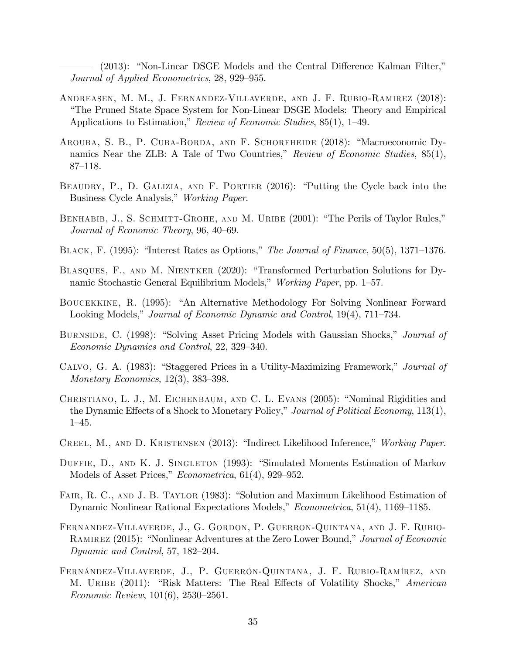$(2013):$  "Non-Linear DSGE Models and the Central Difference Kalman Filter," Journal of Applied Econometrics, 28, 929–955.

- Andreasen, M. M., J. Fernandez-Villaverde, and J. F. Rubio-Ramirez (2018): ìThe Pruned State Space System for Non-Linear DSGE Models: Theory and Empirical Applications to Estimation," Review of Economic Studies, 85(1), 1–49.
- AROUBA, S. B., P. CUBA-BORDA, AND F. SCHORFHEIDE (2018): "Macroeconomic Dynamics Near the ZLB: A Tale of Two Countries," Review of Economic Studies,  $85(1)$ ,  $87 - 118.$
- BEAUDRY, P., D. GALIZIA, AND F. PORTIER (2016): "Putting the Cycle back into the Business Cycle Analysis," Working Paper.
- BENHABIB, J., S. SCHMITT-GROHE, AND M. URIBE (2001): "The Perils of Taylor Rules," Journal of Economic Theory, 96, 40–69.
- BLACK, F. (1995): "Interest Rates as Options," The Journal of Finance, 50(5), 1371–1376.
- BLASQUES, F., AND M. NIENTKER (2020): "Transformed Perturbation Solutions for Dynamic Stochastic General Equilibrium Models," Working Paper, pp. 1–57.
- BOUCEKKINE, R. (1995): "An Alternative Methodology For Solving Nonlinear Forward Looking Models," Journal of Economic Dynamic and Control, 19(4), 711–734.
- BURNSIDE, C. (1998): "Solving Asset Pricing Models with Gaussian Shocks," *Journal of* Economic Dynamics and Control, 22, 329–340.
- CALVO, G. A. (1983): "Staggered Prices in a Utility-Maximizing Framework," Journal of Monetary Economics,  $12(3)$ ,  $383-398$ .
- CHRISTIANO, L. J., M. EICHENBAUM, AND C. L. EVANS (2005): "Nominal Rigidities and the Dynamic Effects of a Shock to Monetary Policy," Journal of Political Economy,  $113(1)$ ,  $1-45.$
- CREEL, M., AND D. KRISTENSEN (2013): "Indirect Likelihood Inference," Working Paper.
- DUFFIE, D., AND K. J. SINGLETON (1993): "Simulated Moments Estimation of Markov Models of Asset Prices,"  $Econometrica$ , 61(4), 929–952.
- FAIR, R. C., AND J. B. TAYLOR (1983): "Solution and Maximum Likelihood Estimation of Dynamic Nonlinear Rational Expectations Models,"  $Econometrica$ , 51(4), 1169–1185.
- Fernandez-Villaverde, J., G. Gordon, P. Guerron-Quintana, and J. F. Rubio-RAMIREZ (2015): "Nonlinear Adventures at the Zero Lower Bound," Journal of Economic Dynamic and Control, 57, 182–204.
- FERNÁNDEZ-VILLAVERDE, J., P. GUERRÓN-QUINTANA, J. F. RUBIO-RAMÍREZ, AND M. URIBE (2011): "Risk Matters: The Real Effects of Volatility Shocks," American Economic Review,  $101(6)$ ,  $2530-2561$ .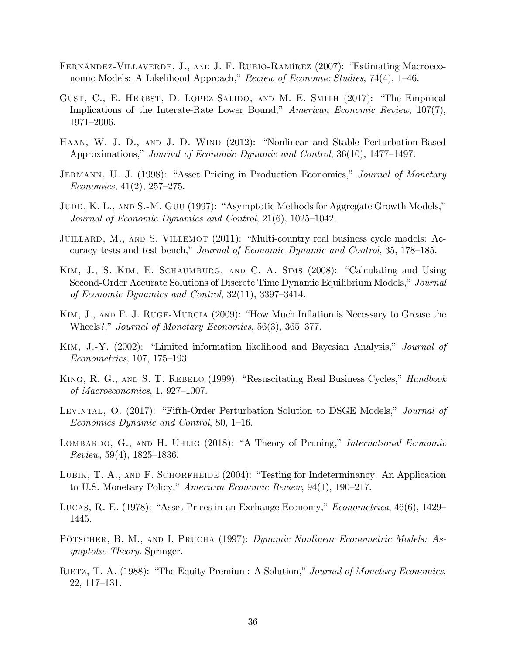- FERNÁNDEZ-VILLAVERDE, J., AND J. F. RUBIO-RAMÍREZ (2007): "Estimating Macroeconomic Models: A Likelihood Approach," Review of Economic Studies, 74(4), 1–46.
- GUST, C., E. HERBST, D. LOPEZ-SALIDO, AND M. E. SMITH (2017): "The Empirical Implications of the Interate-Rate Lower Bound," American Economic Review, 107(7), 1971-2006.
- HAAN, W. J. D., AND J. D. WIND (2012): "Nonlinear and Stable Perturbation-Based Approximations," Journal of Economic Dynamic and Control,  $36(10)$ , 1477–1497.
- JERMANN, U. J. (1998): "Asset Pricing in Production Economics," Journal of Monetary Economics,  $41(2)$ ,  $257-275$ .
- JUDD, K. L., AND S.-M. GUU (1997): "Asymptotic Methods for Aggregate Growth Models," Journal of Economic Dynamics and Control,  $21(6)$ ,  $1025-1042$ .
- JUILLARD, M., AND S. VILLEMOT (2011): "Multi-country real business cycle models: Accuracy tests and test bench," Journal of Economic Dynamic and Control, 35, 178–185.
- KIM, J., S. KIM, E. SCHAUMBURG, AND C. A. SIMS (2008): "Calculating and Using Second-Order Accurate Solutions of Discrete Time Dynamic Equilibrium Models," Journal of Economic Dynamics and Control,  $32(11)$ ,  $3397-3414$ .
- KIM, J., AND  $F$ . J. RUGE-MURCIA (2009): "How Much Inflation is Necessary to Grease the Wheels?," Journal of Monetary Economics,  $56(3)$ ,  $365-377$ .
- KIM, J.-Y. (2002): "Limited information likelihood and Bayesian Analysis," *Journal of*  $Econometrics, 107, 175–193.$
- KING, R. G., AND S. T. REBELO (1999): "Resuscitating Real Business Cycles," *Handbook* of Macroeconomics,  $1, 927-1007$ .
- LEVINTAL, O. (2017): "Fifth-Order Perturbation Solution to DSGE Models," *Journal of* Economics Dynamic and Control,  $80, 1-16$ .
- LOMBARDO, G., AND H. UHLIG (2018): "A Theory of Pruning," *International Economic* Review,  $59(4)$ ,  $1825-1836$ .
- LUBIK, T. A., AND F. SCHORFHEIDE  $(2004)$ : "Testing for Indeterminancy: An Application to U.S. Monetary Policy," American Economic Review,  $94(1)$ ,  $190-217$ .
- LUCAS, R. E. (1978): "Asset Prices in an Exchange Economy," *Econometrica*,  $46(6)$ , 1429 1445.
- PÖTSCHER, B. M., AND I. PRUCHA (1997): Dynamic Nonlinear Econometric Models: Asymptotic Theory. Springer.
- RIETZ, T. A. (1988): "The Equity Premium: A Solution," Journal of Monetary Economics,  $22, 117–131.$